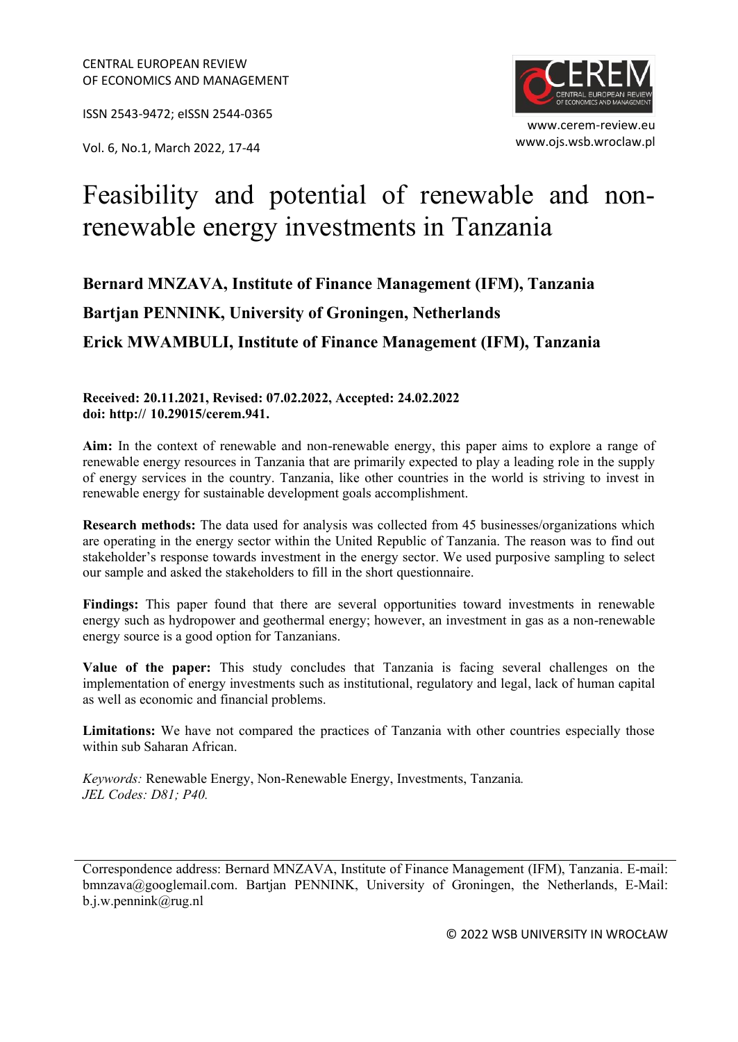ISSN 2543-9472; eISSN 2544-0365

www.ojs.wsb.wroclaw.pl Vol. 6, No.1, March 2022, 17-44



# Feasibility and potential of renewable and nonrenewable energy investments in Tanzania

## **Bernard MNZAVA, Institute of Finance Management (IFM), Tanzania Bartjan PENNINK, University of Groningen, Netherlands Erick MWAMBULI, Institute of Finance Management (IFM), Tanzania**

#### **Received: 20.11.2021, Revised: 07.02.2022, Accepted: 24.02.2022 doi: http:// 10.29015/cerem.941.**

**Aim:** In the context of renewable and non-renewable energy, this paper aims to explore a range of renewable energy resources in Tanzania that are primarily expected to play a leading role in the supply of energy services in the country. Tanzania, like other countries in the world is striving to invest in renewable energy for sustainable development goals accomplishment.

**Research methods:** The data used for analysis was collected from 45 businesses/organizations which are operating in the energy sector within the United Republic of Tanzania. The reason was to find out stakeholder's response towards investment in the energy sector. We used purposive sampling to select our sample and asked the stakeholders to fill in the short questionnaire.

**Findings:** This paper found that there are several opportunities toward investments in renewable energy such as hydropower and geothermal energy; however, an investment in gas as a non-renewable energy source is a good option for Tanzanians.

**Value of the paper:** This study concludes that Tanzania is facing several challenges on the implementation of energy investments such as institutional, regulatory and legal, lack of human capital as well as economic and financial problems.

**Limitations:** We have not compared the practices of Tanzania with other countries especially those within sub Saharan African.

*Keywords:* Renewable Energy, Non-Renewable Energy, Investments, Tanzania*. JEL Codes: D81; P40.*

Correspondence address: Bernard MNZAVA, Institute of Finance Management (IFM), Tanzania. E-mail: bmnzava@googlemail.com. Bartjan PENNINK, University of Groningen, the Netherlands, E-Mail: b.j.w.pennink@rug.nl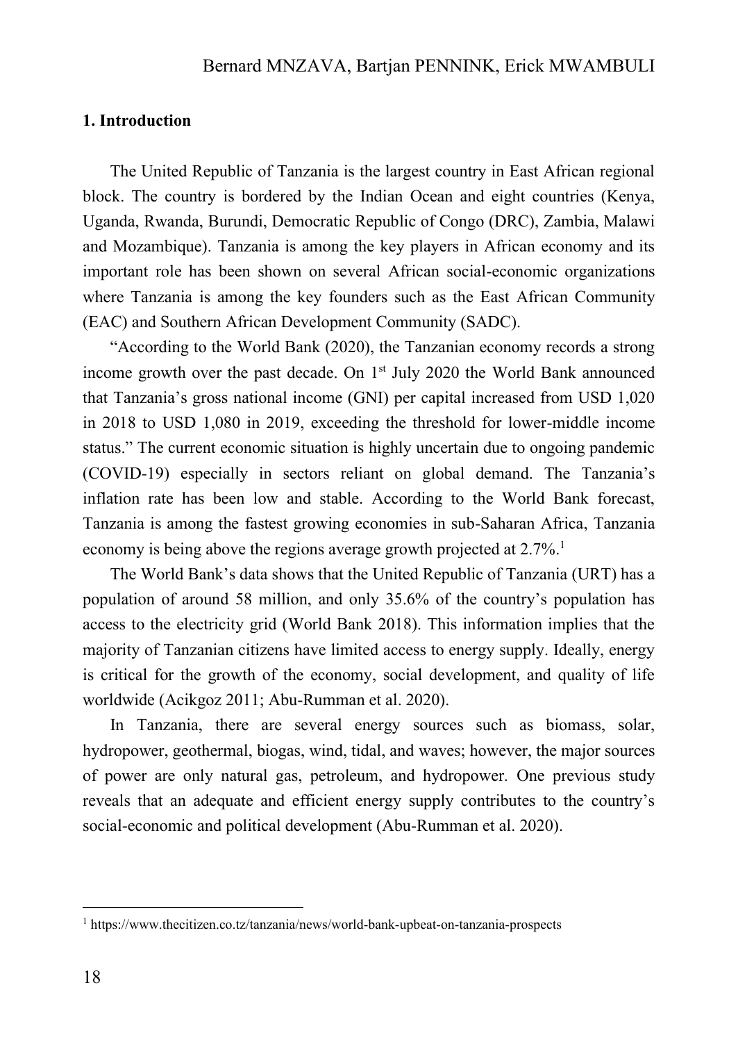#### **1. Introduction**

The United Republic of Tanzania is the largest country in East African regional block. The country is bordered by the Indian Ocean and eight countries (Kenya, Uganda, Rwanda, Burundi, Democratic Republic of Congo (DRC), Zambia, Malawi and Mozambique). Tanzania is among the key players in African economy and its important role has been shown on several African social-economic organizations where Tanzania is among the key founders such as the East African Community (EAC) and Southern African Development Community (SADC).

"According to the World Bank (2020), the Tanzanian economy records a strong income growth over the past decade. On 1<sup>st</sup> July 2020 the World Bank announced that Tanzania's gross national income (GNI) per capital increased from USD 1,020 in 2018 to USD 1,080 in 2019, exceeding the threshold for lower-middle income status." The current economic situation is highly uncertain due to ongoing pandemic (COVID-19) especially in sectors reliant on global demand. The Tanzania's inflation rate has been low and stable. According to the World Bank forecast, Tanzania is among the fastest growing economies in sub-Saharan Africa, Tanzania economy is being above the regions average growth projected at 2.7%.<sup>1</sup>

The World Bank's data shows that the United Republic of Tanzania (URT) has a population of around 58 million, and only 35.6% of the country's population has access to the electricity grid (World Bank 2018). This information implies that the majority of Tanzanian citizens have limited access to energy supply. Ideally, energy is critical for the growth of the economy, social development, and quality of life worldwide (Acikgoz 2011; Abu-Rumman et al. 2020).

In Tanzania, there are several energy sources such as biomass, solar, hydropower, geothermal, biogas, wind, tidal, and waves; however, the major sources of power are only natural gas, petroleum, and hydropower*.* One previous study reveals that an adequate and efficient energy supply contributes to the country's social-economic and political development (Abu-Rumman et al. 2020).

<sup>1</sup> https://www.thecitizen.co.tz/tanzania/news/world-bank-upbeat-on-tanzania-prospects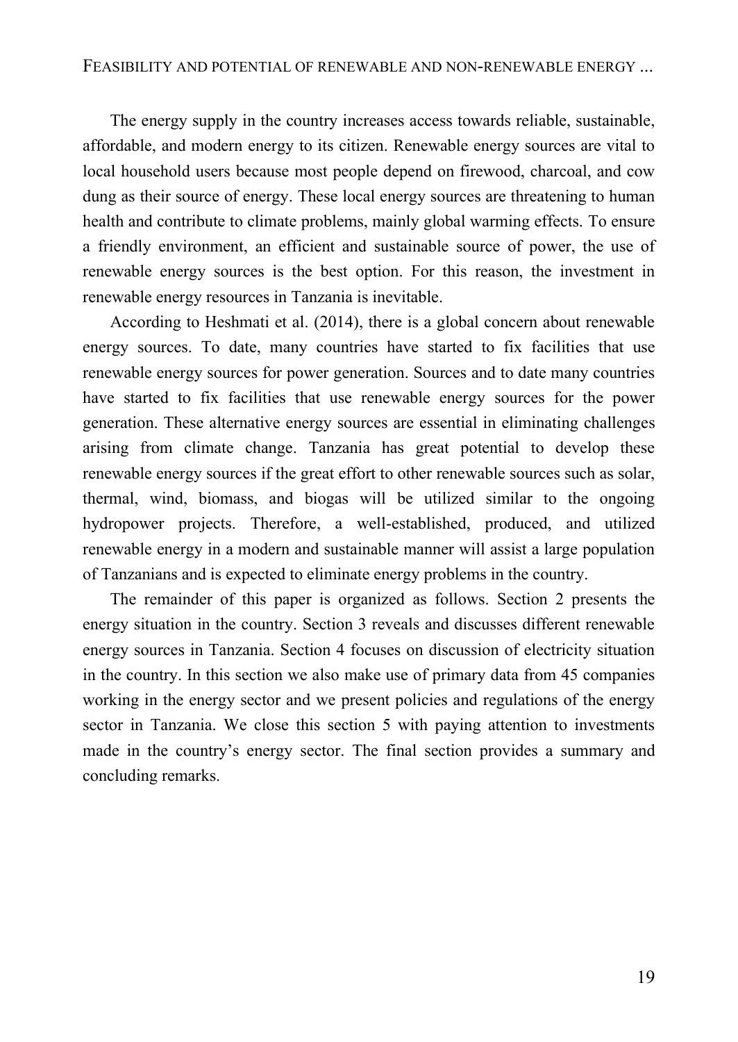The energy supply in the country increases access towards reliable, sustainable, affordable, and modern energy to its citizen. Renewable energy sources are vital to local household users because most people depend on firewood, charcoal, and cow dung as their source of energy. These local energy sources are threatening to human health and contribute to climate problems, mainly global warming effects. To ensure a friendly environment, an efficient and sustainable source of power, the use of renewable energy sources is the best option. For this reason, the investment in renewable energy resources in Tanzania is inevitable.

According to Heshmati et al. (2014), there is a global concern about renewable energy sources. To date, many countries have started to fix facilities that use renewable energy sources for power generation. Sources and to date many countries have started to fix facilities that use renewable energy sources for the power generation. These alternative energy sources are essential in eliminating challenges arising from climate change. Tanzania has great potential to develop these renewable energy sources if the great effort to other renewable sources such as solar, thermal, wind, biomass, and biogas will be utilized similar to the ongoing hydropower projects. Therefore, a well-established, produced, and utilized renewable energy in a modern and sustainable manner will assist a large population of Tanzanians and is expected to eliminate energy problems in the country.

The remainder of this paper is organized as follows. Section 2 presents the energy situation in the country. Section 3 reveals and discusses different renewable energy sources in Tanzania. Section 4 focuses on discussion of electricity situation in the country. In this section we also make use of primary data from 45 companies working in the energy sector and we present policies and regulations of the energy sector in Tanzania. We close this section 5 with paying attention to investments made in the country's energy sector. The final section provides a summary and concluding remarks.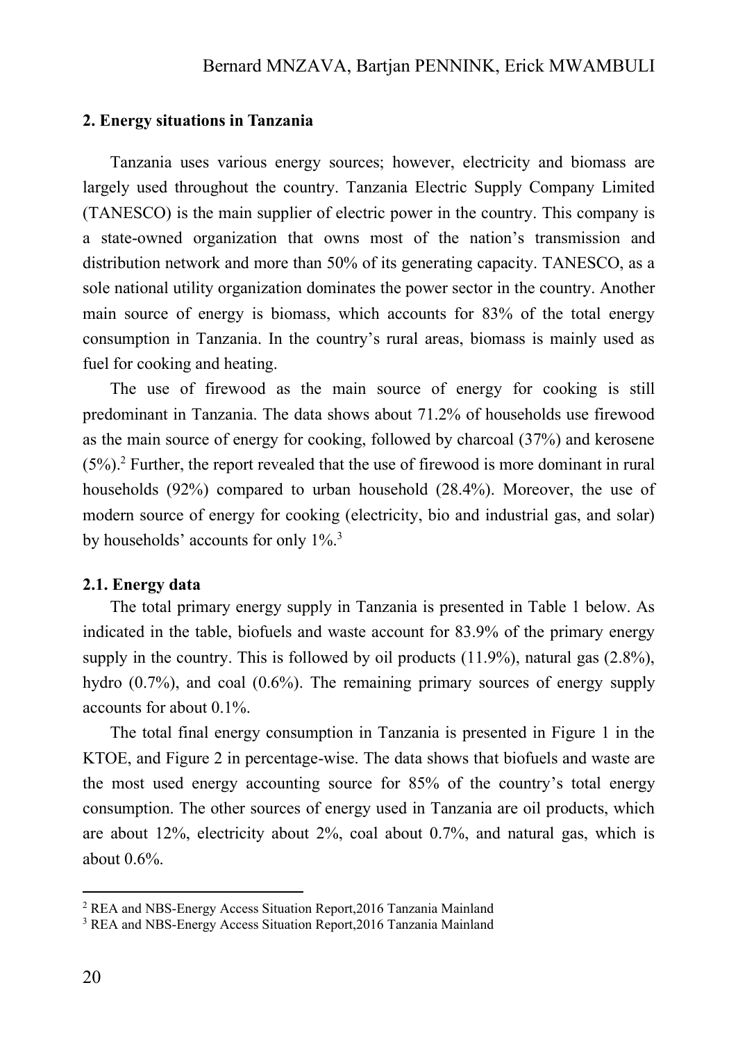#### **2. Energy situations in Tanzania**

Tanzania uses various energy sources; however, electricity and biomass are largely used throughout the country. Tanzania Electric Supply Company Limited (TANESCO) is the main supplier of electric power in the country. This company is a state-owned organization that owns most of the nation's transmission and distribution network and more than 50% of its generating capacity. TANESCO, as a sole national utility organization dominates the power sector in the country. Another main source of energy is biomass, which accounts for 83% of the total energy consumption in Tanzania. In the country's rural areas, biomass is mainly used as fuel for cooking and heating.

The use of firewood as the main source of energy for cooking is still predominant in Tanzania. The data shows about 71.2% of households use firewood as the main source of energy for cooking, followed by charcoal (37%) and kerosene (5%). <sup>2</sup> Further, the report revealed that the use of firewood is more dominant in rural households (92%) compared to urban household (28.4%). Moreover, the use of modern source of energy for cooking (electricity, bio and industrial gas, and solar) by households' accounts for only 1%.<sup>3</sup>

#### **2.1. Energy data**

The total primary energy supply in Tanzania is presented in Table 1 below. As indicated in the table, biofuels and waste account for 83.9% of the primary energy supply in the country. This is followed by oil products  $(11.9\%)$ , natural gas  $(2.8\%)$ , hydro (0.7%), and coal (0.6%). The remaining primary sources of energy supply accounts for about 0.1%.

The total final energy consumption in Tanzania is presented in Figure 1 in the KTOE, and Figure 2 in percentage-wise. The data shows that biofuels and waste are the most used energy accounting source for 85% of the country's total energy consumption. The other sources of energy used in Tanzania are oil products, which are about 12%, electricity about 2%, coal about 0.7%, and natural gas, which is about 0.6%.

<sup>2</sup> REA and NBS-Energy Access Situation Report,2016 Tanzania Mainland

<sup>3</sup> REA and NBS-Energy Access Situation Report,2016 Tanzania Mainland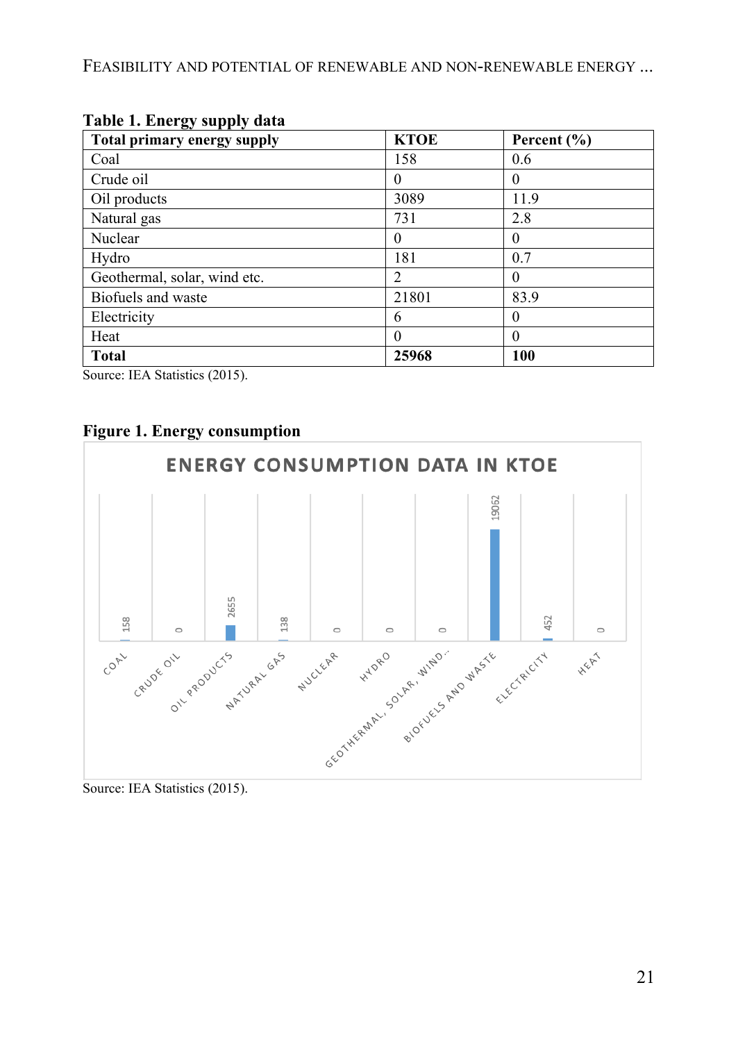FEASIBILITY AND POTENTIAL OF RENEWABLE AND NON-RENEWABLE ENERGY ...

| $\mathbf{B}$ - $\mathbf{F}$ $\mathbf{F}$ - $\mathbf{F}$<br>Total primary energy supply | <b>KTOE</b> | Percent $(\% )$ |
|----------------------------------------------------------------------------------------|-------------|-----------------|
| Coal                                                                                   | 158         | 0.6             |
| Crude oil                                                                              | 0           | $\Omega$        |
| Oil products                                                                           | 3089        | 11.9            |
| Natural gas                                                                            | 731         | 2.8             |
| Nuclear                                                                                |             | $\theta$        |
| Hydro                                                                                  | 181         | 0.7             |
| Geothermal, solar, wind etc.                                                           | 2           | $\Omega$        |
| Biofuels and waste                                                                     | 21801       | 83.9            |
| Electricity                                                                            | 6           |                 |
| Heat                                                                                   |             | $\theta$        |
| <b>Total</b>                                                                           | 25968       | 100             |

#### **Table 1. Energy supply data**

Source: IEA Statistics (2015).





Source: IEA Statistics (2015).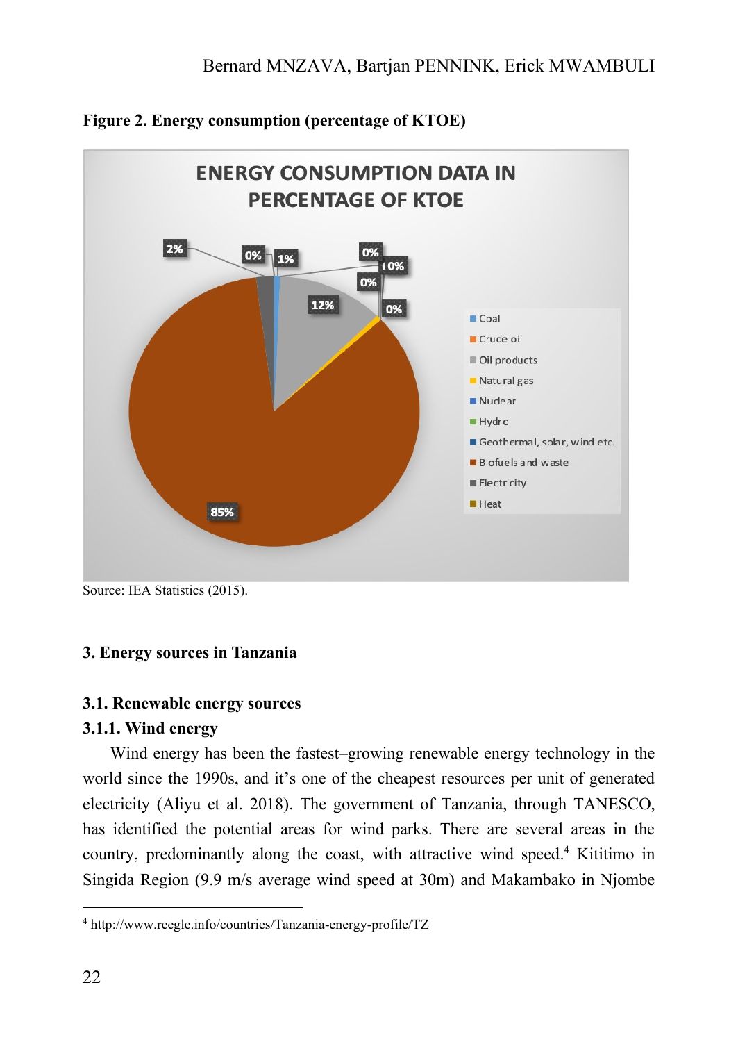

## **Figure 2. Energy consumption (percentage of KTOE)**

Source: IEA Statistics (2015).

## **3. Energy sources in Tanzania**

## **3.1. Renewable energy sources**

#### **3.1.1. Wind energy**

Wind energy has been the fastest–growing renewable energy technology in the world since the 1990s, and it's one of the cheapest resources per unit of generated electricity (Aliyu et al. 2018). The government of Tanzania, through TANESCO, has identified the potential areas for wind parks. There are several areas in the country, predominantly along the coast, with attractive wind speed. <sup>4</sup> Kititimo in Singida Region (9.9 m/s average wind speed at 30m) and Makambako in Njombe

<sup>4</sup> http://www.reegle.info/countries/Tanzania-energy-profile/TZ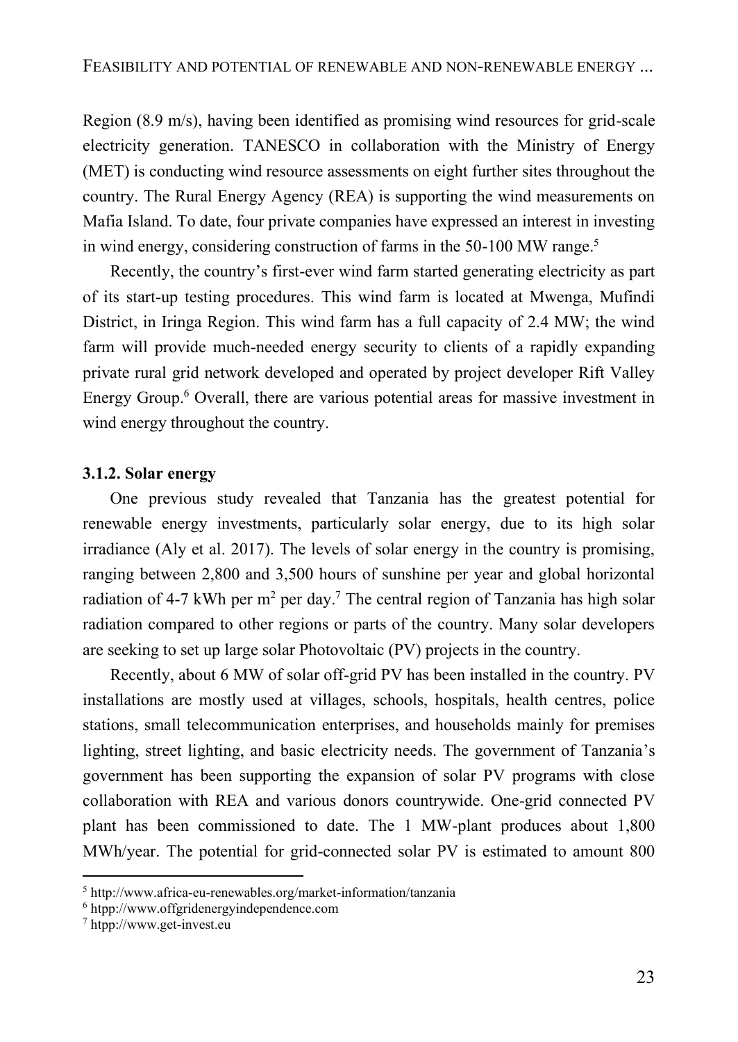Region (8.9 m/s), having been identified as promising wind resources for grid-scale electricity generation. TANESCO in collaboration with the Ministry of Energy (MET) is conducting wind resource assessments on eight further sites throughout the country. The Rural Energy Agency (REA) is supporting the wind measurements on Mafia Island. To date, four private companies have expressed an interest in investing in wind energy, considering construction of farms in the 50-100 MW range. 5

Recently, the country's first-ever wind farm started generating electricity as part of its start-up testing procedures. This wind farm is located at Mwenga, Mufindi District, in Iringa Region. This wind farm has a full capacity of 2.4 MW; the wind farm will provide much-needed energy security to clients of a rapidly expanding private rural grid network developed and operated by project developer Rift Valley Energy Group. <sup>6</sup> Overall, there are various potential areas for massive investment in wind energy throughout the country.

#### **3.1.2. Solar energy**

One previous study revealed that Tanzania has the greatest potential for renewable energy investments, particularly solar energy, due to its high solar irradiance (Aly et al. 2017). The levels of solar energy in the country is promising, ranging between 2,800 and 3,500 hours of sunshine per year and global horizontal radiation of 4-7 kWh per  $m^2$  per day.<sup>7</sup> The central region of Tanzania has high solar radiation compared to other regions or parts of the country. Many solar developers are seeking to set up large solar Photovoltaic (PV) projects in the country.

Recently, about 6 MW of solar off-grid PV has been installed in the country. PV installations are mostly used at villages, schools, hospitals, health centres, police stations, small telecommunication enterprises, and households mainly for premises lighting, street lighting, and basic electricity needs. The government of Tanzania's government has been supporting the expansion of solar PV programs with close collaboration with REA and various donors countrywide. One-grid connected PV plant has been commissioned to date. The 1 MW-plant produces about 1,800 MWh/year. The potential for grid-connected solar PV is estimated to amount 800

<sup>5</sup> http://www.africa-eu-renewables.org/market-information/tanzania

<sup>6</sup> htpp://www.offgridenergyindependence.com

<sup>7</sup> htpp://www.get-invest.eu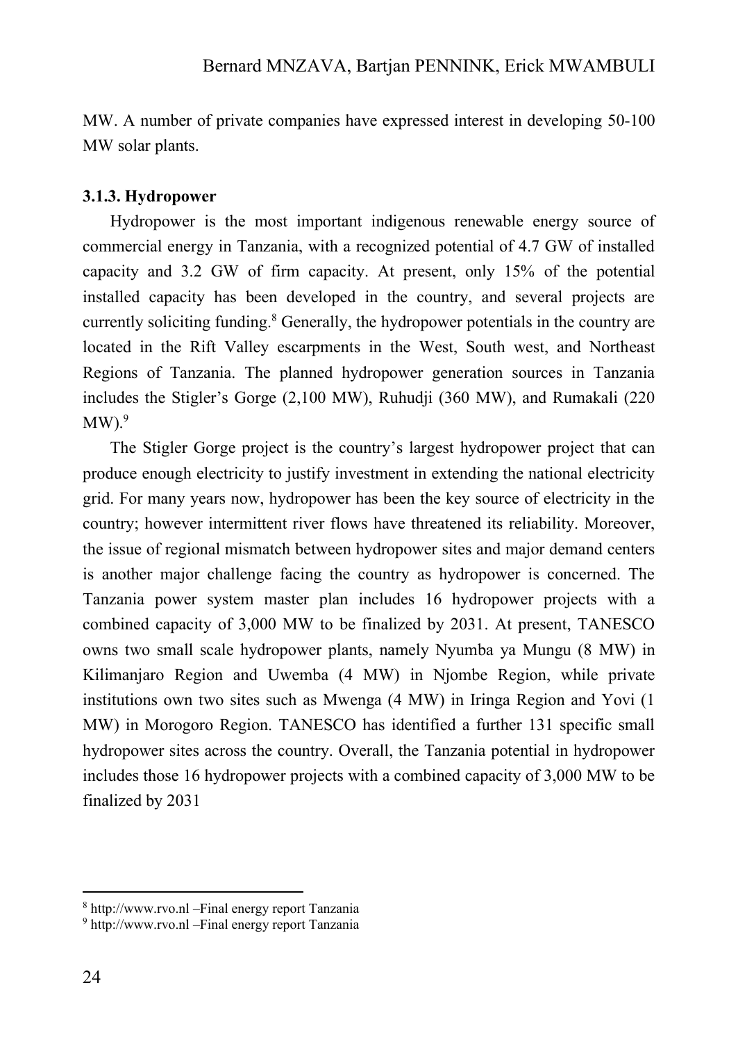MW. A number of private companies have expressed interest in developing 50-100 MW solar plants.

#### **3.1.3. Hydropower**

Hydropower is the most important indigenous renewable energy source of commercial energy in Tanzania, with a recognized potential of 4.7 GW of installed capacity and 3.2 GW of firm capacity. At present, only 15% of the potential installed capacity has been developed in the country, and several projects are currently soliciting funding. <sup>8</sup> Generally, the hydropower potentials in the country are located in the Rift Valley escarpments in the West, South west, and Northeast Regions of Tanzania. The planned hydropower generation sources in Tanzania includes the Stigler's Gorge (2,100 MW), Ruhudji (360 MW), and Rumakali (220  $\text{MW).}^9$ 

The Stigler Gorge project is the country's largest hydropower project that can produce enough electricity to justify investment in extending the national electricity grid. For many years now, hydropower has been the key source of electricity in the country; however intermittent river flows have threatened its reliability. Moreover, the issue of regional mismatch between hydropower sites and major demand centers is another major challenge facing the country as hydropower is concerned. The Tanzania power system master plan includes 16 hydropower projects with a combined capacity of 3,000 MW to be finalized by 2031. At present, TANESCO owns two small scale hydropower plants, namely Nyumba ya Mungu (8 MW) in Kilimanjaro Region and Uwemba (4 MW) in Njombe Region, while private institutions own two sites such as Mwenga (4 MW) in Iringa Region and Yovi (1 MW) in Morogoro Region. TANESCO has identified a further 131 specific small hydropower sites across the country. Overall, the Tanzania potential in hydropower includes those 16 hydropower projects with a combined capacity of 3,000 MW to be finalized by 2031

<sup>8</sup> [http://www.rvo.nl](http://www.rvo.nl/) –Final energy report Tanzania

<sup>9</sup> [http://www.rvo.nl](http://www.rvo.nl/) –Final energy report Tanzania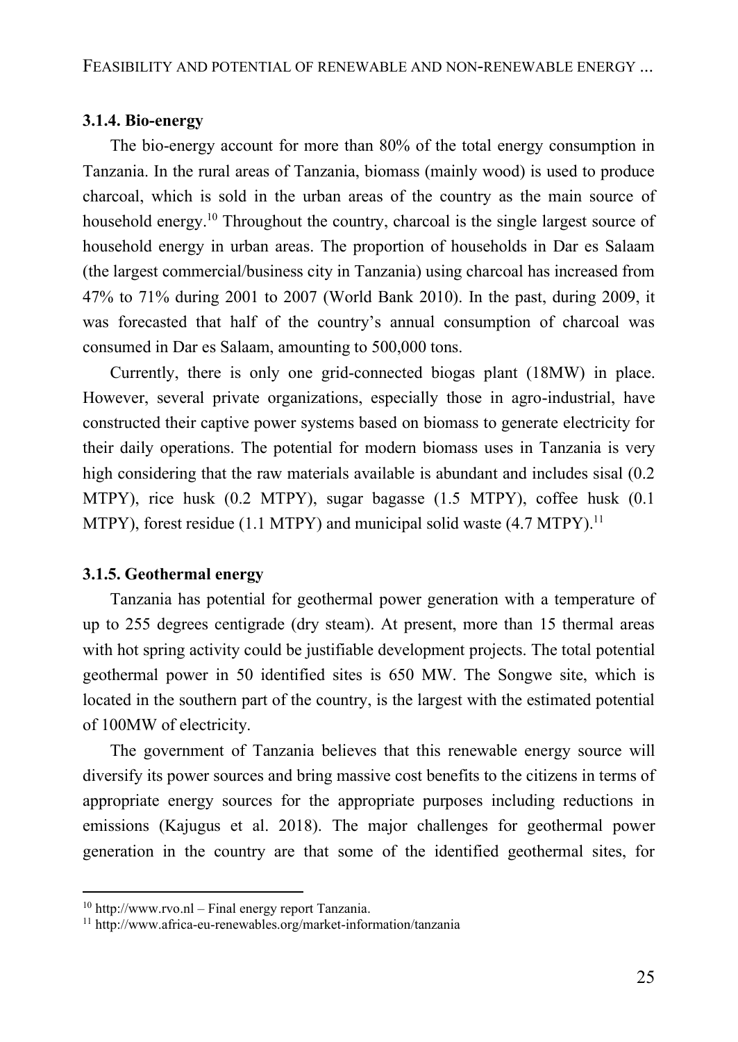#### **3.1.4. Bio-energy**

The bio-energy account for more than 80% of the total energy consumption in Tanzania. In the rural areas of Tanzania, biomass (mainly wood) is used to produce charcoal, which is sold in the urban areas of the country as the main source of household energy. <sup>10</sup> Throughout the country, charcoal is the single largest source of household energy in urban areas. The proportion of households in Dar es Salaam (the largest commercial/business city in Tanzania) using charcoal has increased from 47% to 71% during 2001 to 2007 (World Bank 2010). In the past, during 2009, it was forecasted that half of the country's annual consumption of charcoal was consumed in Dar es Salaam, amounting to 500,000 tons.

Currently, there is only one grid-connected biogas plant (18MW) in place. However, several private organizations, especially those in agro-industrial, have constructed their captive power systems based on biomass to generate electricity for their daily operations. The potential for modern biomass uses in Tanzania is very high considering that the raw materials available is abundant and includes sisal (0.2 MTPY), rice husk (0.2 MTPY), sugar bagasse (1.5 MTPY), coffee husk (0.1 MTPY), forest residue (1.1 MTPY) and municipal solid waste (4.7 MTPY).<sup>11</sup>

#### **3.1.5. Geothermal energy**

Tanzania has potential for geothermal power generation with a temperature of up to 255 degrees centigrade (dry steam). At present, more than 15 thermal areas with hot spring activity could be justifiable development projects. The total potential geothermal power in 50 identified sites is 650 MW. The Songwe site, which is located in the southern part of the country, is the largest with the estimated potential of 100MW of electricity.

The government of Tanzania believes that this renewable energy source will diversify its power sources and bring massive cost benefits to the citizens in terms of appropriate energy sources for the appropriate purposes including reductions in emissions (Kajugus et al. 2018). The major challenges for geothermal power generation in the country are that some of the identified geothermal sites, for

 $10$  [http://www.rvo.nl](http://www.rvo.nl/) – Final energy report Tanzania.

<sup>11</sup> http://www.africa-eu-renewables.org/market-information/tanzania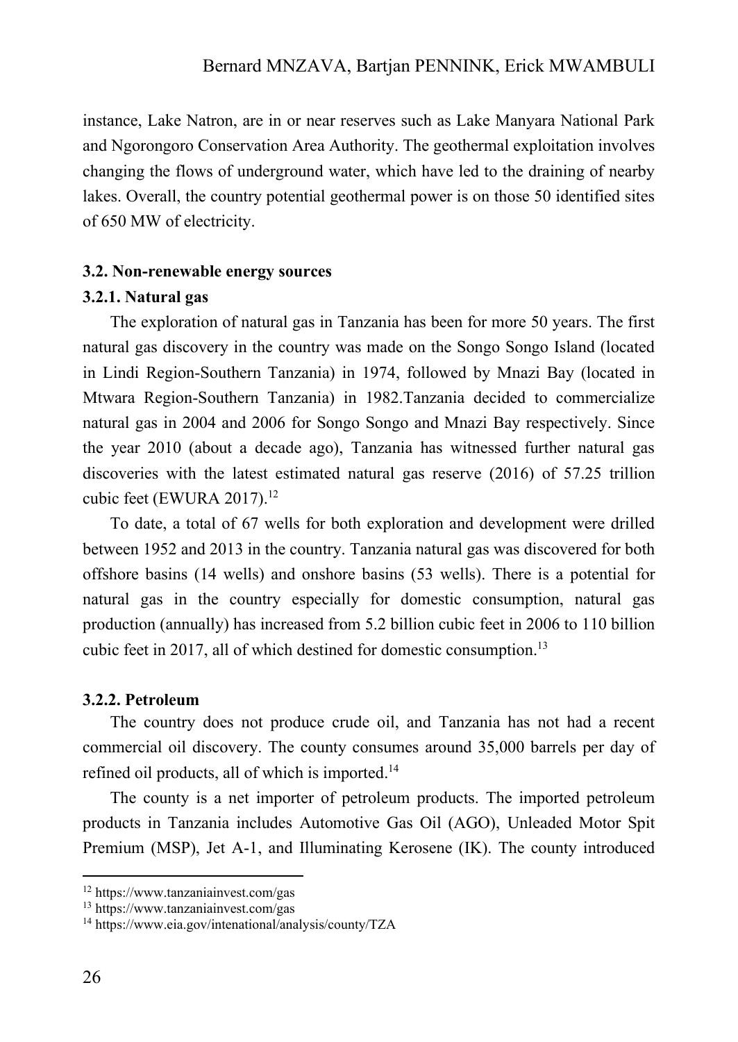instance, Lake Natron, are in or near reserves such as Lake Manyara National Park and Ngorongoro Conservation Area Authority. The geothermal exploitation involves changing the flows of underground water, which have led to the draining of nearby lakes. Overall, the country potential geothermal power is on those 50 identified sites of 650 MW of electricity.

#### **3.2. Non-renewable energy sources**

#### **3.2.1. Natural gas**

The exploration of natural gas in Tanzania has been for more 50 years. The first natural gas discovery in the country was made on the Songo Songo Island (located in Lindi Region-Southern Tanzania) in 1974, followed by Mnazi Bay (located in Mtwara Region-Southern Tanzania) in 1982.Tanzania decided to commercialize natural gas in 2004 and 2006 for Songo Songo and Mnazi Bay respectively. Since the year 2010 (about a decade ago), Tanzania has witnessed further natural gas discoveries with the latest estimated natural gas reserve (2016) of 57.25 trillion cubic feet (EWURA 2017). $^{12}$ 

To date, a total of 67 wells for both exploration and development were drilled between 1952 and 2013 in the country. Tanzania natural gas was discovered for both offshore basins (14 wells) and onshore basins (53 wells). There is a potential for natural gas in the country especially for domestic consumption, natural gas production (annually) has increased from 5.2 billion cubic feet in 2006 to 110 billion cubic feet in 2017, all of which destined for domestic consumption.<sup>13</sup>

#### **3.2.2. Petroleum**

The country does not produce crude oil, and Tanzania has not had a recent commercial oil discovery. The county consumes around 35,000 barrels per day of refined oil products, all of which is imported.<sup>14</sup>

The county is a net importer of petroleum products. The imported petroleum products in Tanzania includes Automotive Gas Oil (AGO), Unleaded Motor Spit Premium (MSP), Jet A-1, and Illuminating Kerosene (IK). The county introduced

<sup>12</sup> https://www.tanzaniainvest.com/gas

<sup>13</sup> https://www.tanzaniainvest.com/gas

<sup>14</sup> https://www.eia.gov/intenational/analysis/county/TZA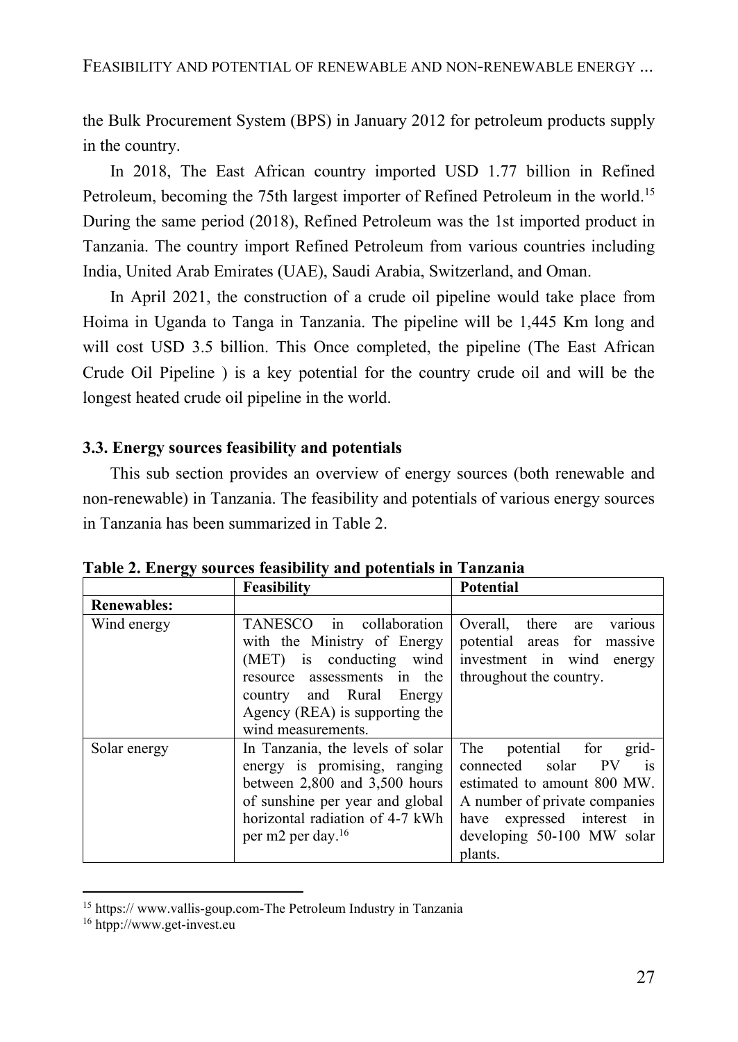the Bulk Procurement System (BPS) in January 2012 for petroleum products supply in the country.

In 2018, The East African country imported USD 1.77 billion in Refined Petroleum, becoming the 75th largest importer of Refined Petroleum in the world.<sup>15</sup> During the same period (2018), Refined Petroleum was the 1st imported product in Tanzania. The country import Refined Petroleum from various countries including India, United Arab Emirates (UAE), Saudi Arabia, Switzerland, and Oman.

In April 2021, the construction of a crude oil pipeline would take place from Hoima in Uganda to Tanga in Tanzania. The pipeline will be 1,445 Km long and will cost USD 3.5 billion. This Once completed, the pipeline (The East African Crude Oil Pipeline ) is a key potential for the country crude oil and will be the longest heated crude oil pipeline in the world.

## **3.3. Energy sources feasibility and potentials**

This sub section provides an overview of energy sources (both renewable and non-renewable) in Tanzania. The feasibility and potentials of various energy sources in Tanzania has been summarized in Table 2.

|                    | Feasibility                                                                                                                                                                                                  | <b>Potential</b>                                                                                                                                                                                                 |
|--------------------|--------------------------------------------------------------------------------------------------------------------------------------------------------------------------------------------------------------|------------------------------------------------------------------------------------------------------------------------------------------------------------------------------------------------------------------|
| <b>Renewables:</b> |                                                                                                                                                                                                              |                                                                                                                                                                                                                  |
| Wind energy        | TANESCO in collaboration<br>with the Ministry of Energy<br>(MET) is conducting wind<br>resource assessments in the<br>country and Rural Energy<br>Agency (REA) is supporting the<br>wind measurements.       | Overall, there<br>various<br>are<br>potential areas for<br>massive<br>investment in wind<br>energy<br>throughout the country.                                                                                    |
| Solar energy       | In Tanzania, the levels of solar<br>energy is promising, ranging<br>between $2,800$ and $3,500$ hours<br>of sunshine per year and global<br>horizontal radiation of 4-7 kWh<br>per m2 per day. <sup>16</sup> | The<br>potential for<br>grid-<br>connected solar<br><b>PV</b><br>$-1S$<br>estimated to amount 800 MW.<br>A number of private companies<br>expressed interest in<br>have<br>developing 50-100 MW solar<br>plants. |

**Table 2. Energy sources feasibility and potentials in Tanzania**

<sup>15</sup> https:/[/ www.vallis-goup.com-The](http://www.vallis-goup.com-the/) Petroleum Industry in Tanzania

<sup>16</sup> htpp://www.get-invest.eu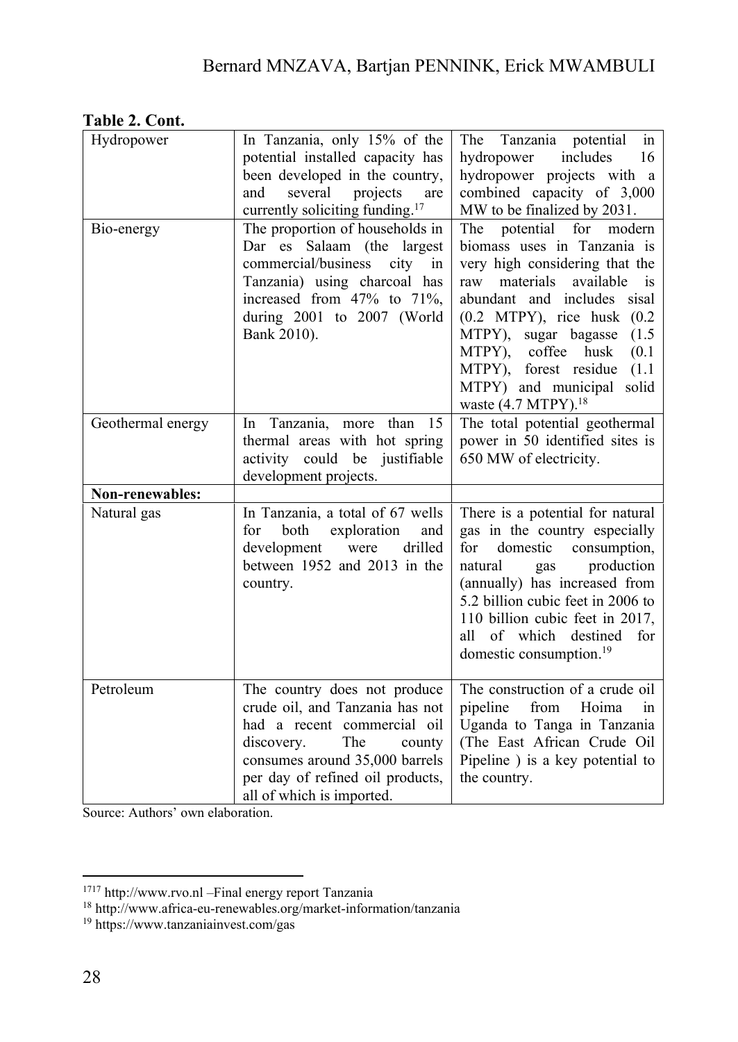|--|

| Hydropower        | In Tanzania, only 15% of the<br>potential installed capacity has<br>been developed in the country,<br>and<br>several<br>projects<br>are<br>currently soliciting funding. <sup>17</sup>                                           | The Tanzania potential<br>in<br>includes<br>hydropower<br>16<br>hydropower projects with a<br>combined capacity of 3,000<br>MW to be finalized by 2031.                                                                                                                                                                                                                    |
|-------------------|----------------------------------------------------------------------------------------------------------------------------------------------------------------------------------------------------------------------------------|----------------------------------------------------------------------------------------------------------------------------------------------------------------------------------------------------------------------------------------------------------------------------------------------------------------------------------------------------------------------------|
| Bio-energy        | The proportion of households in<br>Dar es Salaam (the largest<br>commercial/business<br>city<br>in<br>Tanzania) using charcoal has<br>increased from 47% to 71%,<br>during 2001 to 2007 (World<br>Bank 2010).                    | The potential<br>for<br>modern<br>biomass uses in Tanzania is<br>very high considering that the<br>materials<br>available<br>raw<br>is<br>abundant and includes sisal<br>$(0.2$ MTPY), rice husk $(0.2)$<br>MTPY), sugar bagasse<br>(1.5)<br>MTPY), coffee husk<br>(0.1)<br>MTPY), forest residue<br>(1.1)<br>MTPY) and municipal solid<br>waste (4.7 MTPY). <sup>18</sup> |
| Geothermal energy | Tanzania, more than<br>15<br>ln<br>thermal areas with hot spring<br>activity could be justifiable<br>development projects.                                                                                                       | The total potential geothermal<br>power in 50 identified sites is<br>650 MW of electricity.                                                                                                                                                                                                                                                                                |
| Non-renewables:   |                                                                                                                                                                                                                                  |                                                                                                                                                                                                                                                                                                                                                                            |
| Natural gas       | In Tanzania, a total of 67 wells<br>for<br>both<br>exploration<br>and<br>drilled<br>development<br>were<br>between 1952 and 2013 in the<br>country.                                                                              | There is a potential for natural<br>gas in the country especially<br>domestic<br>consumption,<br>for<br>production<br>natural<br>gas<br>(annually) has increased from<br>5.2 billion cubic feet in 2006 to<br>110 billion cubic feet in 2017,<br>of which destined<br>for<br>all<br>domestic consumption. <sup>19</sup>                                                    |
| Petroleum         | The country does not produce<br>crude oil, and Tanzania has not<br>had a recent commercial oil<br>The<br>discovery.<br>county<br>consumes around 35,000 barrels<br>per day of refined oil products,<br>all of which is imported. | The construction of a crude oil<br>from<br>Hoima<br>pipeline<br>in<br>Uganda to Tanga in Tanzania<br>(The East African Crude Oil<br>Pipeline ) is a key potential to<br>the country.                                                                                                                                                                                       |

Source: Authors' own elaboration.

<sup>&</sup>lt;sup>1717</sup> [http://www.rvo.nl](http://www.rvo.nl/) – Final energy report Tanzania

<sup>18</sup> http://www.africa-eu-renewables.org/market-information/tanzania

<sup>19</sup> https://www.tanzaniainvest.com/gas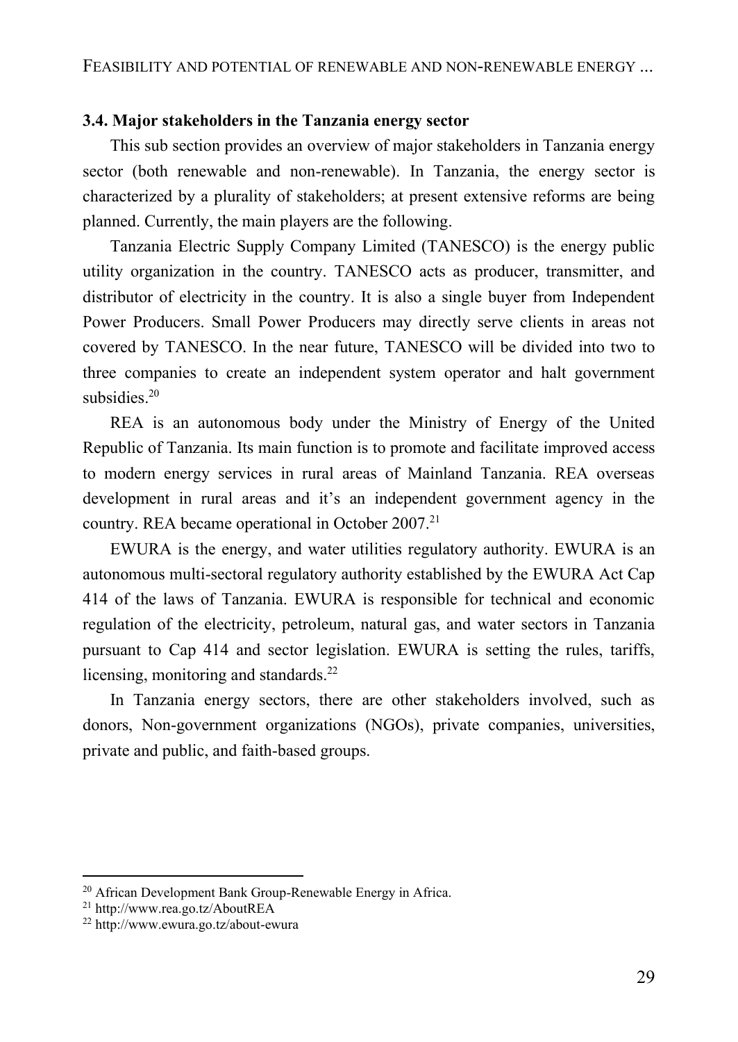#### **3.4. Major stakeholders in the Tanzania energy sector**

This sub section provides an overview of major stakeholders in Tanzania energy sector (both renewable and non-renewable). In Tanzania, the energy sector is characterized by a plurality of stakeholders; at present extensive reforms are being planned. Currently, the main players are the following.

Tanzania Electric Supply Company Limited (TANESCO) is the energy public utility organization in the country. TANESCO acts as producer, transmitter, and distributor of electricity in the country. It is also a single buyer from Independent Power Producers. Small Power Producers may directly serve clients in areas not covered by TANESCO. In the near future, TANESCO will be divided into two to three companies to create an independent system operator and halt government subsidies. 20

REA is an autonomous body under the Ministry of Energy of the United Republic of Tanzania. Its main function is to promote and facilitate improved access to modern energy services in rural areas of Mainland Tanzania. REA overseas development in rural areas and it's an independent government agency in the country. REA became operational in October 2007.<sup>21</sup>

EWURA is the energy, and water utilities regulatory authority. EWURA is an autonomous multi-sectoral regulatory authority established by the EWURA Act Cap 414 of the laws of Tanzania. EWURA is responsible for technical and economic regulation of the electricity, petroleum, natural gas, and water sectors in Tanzania pursuant to Cap 414 and sector legislation. EWURA is setting the rules, tariffs, licensing, monitoring and standards.<sup>22</sup>

In Tanzania energy sectors, there are other stakeholders involved, such as donors, Non-government organizations (NGOs), private companies, universities, private and public, and faith-based groups.

<sup>&</sup>lt;sup>20</sup> African Development Bank Group-Renewable Energy in Africa.

<sup>21</sup> http://www.rea.go.tz/AboutREA

<sup>22</sup> http://www.ewura.go.tz/about-ewura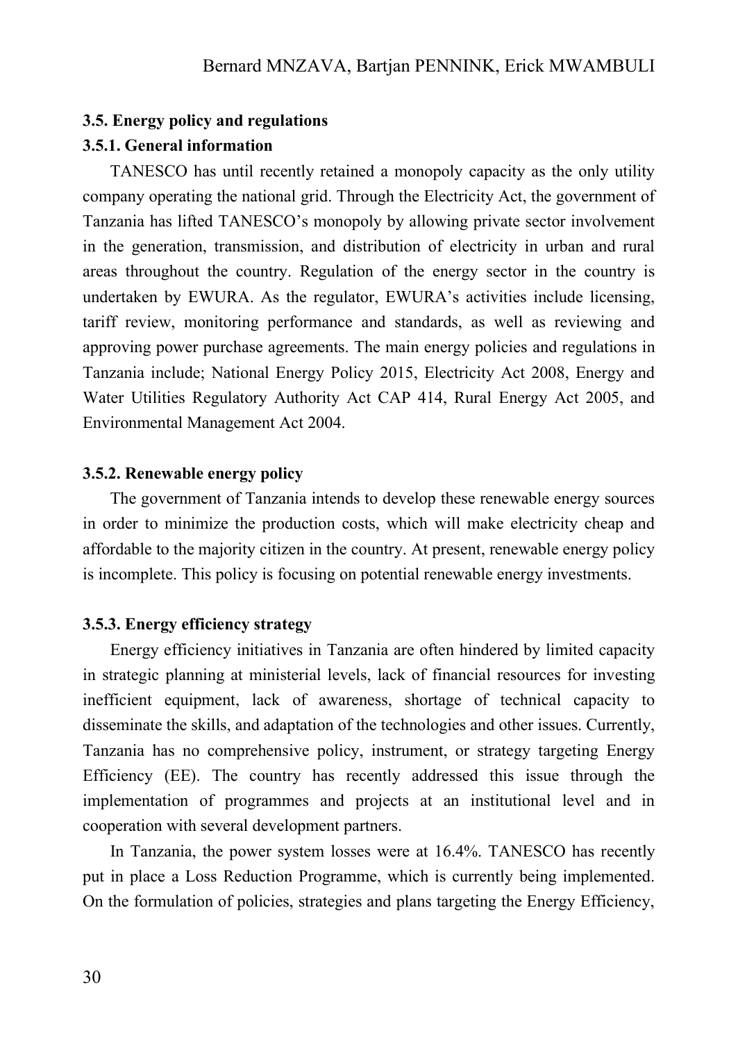#### **3.5. Energy policy and regulations**

#### **3.5.1. General information**

TANESCO has until recently retained a monopoly capacity as the only utility company operating the national grid. Through the Electricity Act, the government of Tanzania has lifted TANESCO's monopoly by allowing private sector involvement in the generation, transmission, and distribution of electricity in urban and rural areas throughout the country. Regulation of the energy sector in the country is undertaken by EWURA. As the regulator, EWURA's activities include licensing, tariff review, monitoring performance and standards, as well as reviewing and approving power purchase agreements. The main energy policies and regulations in Tanzania include; National Energy Policy 2015, Electricity Act 2008, Energy and Water Utilities Regulatory Authority Act CAP 414, Rural Energy Act 2005, and Environmental Management Act 2004.

#### **3.5.2. Renewable energy policy**

The government of Tanzania intends to develop these renewable energy sources in order to minimize the production costs, which will make electricity cheap and affordable to the majority citizen in the country. At present, renewable energy policy is incomplete. This policy is focusing on potential renewable energy investments.

## **3.5.3. Energy efficiency strategy**

Energy efficiency initiatives in Tanzania are often hindered by limited capacity in strategic planning at ministerial levels, lack of financial resources for investing inefficient equipment, lack of awareness, shortage of technical capacity to disseminate the skills, and adaptation of the technologies and other issues. Currently, Tanzania has no comprehensive policy, instrument, or strategy targeting Energy Efficiency (EE). The country has recently addressed this issue through the implementation of programmes and projects at an institutional level and in cooperation with several development partners.

In Tanzania, the power system losses were at 16.4%. TANESCO has recently put in place a Loss Reduction Programme, which is currently being implemented. On the formulation of policies, strategies and plans targeting the Energy Efficiency,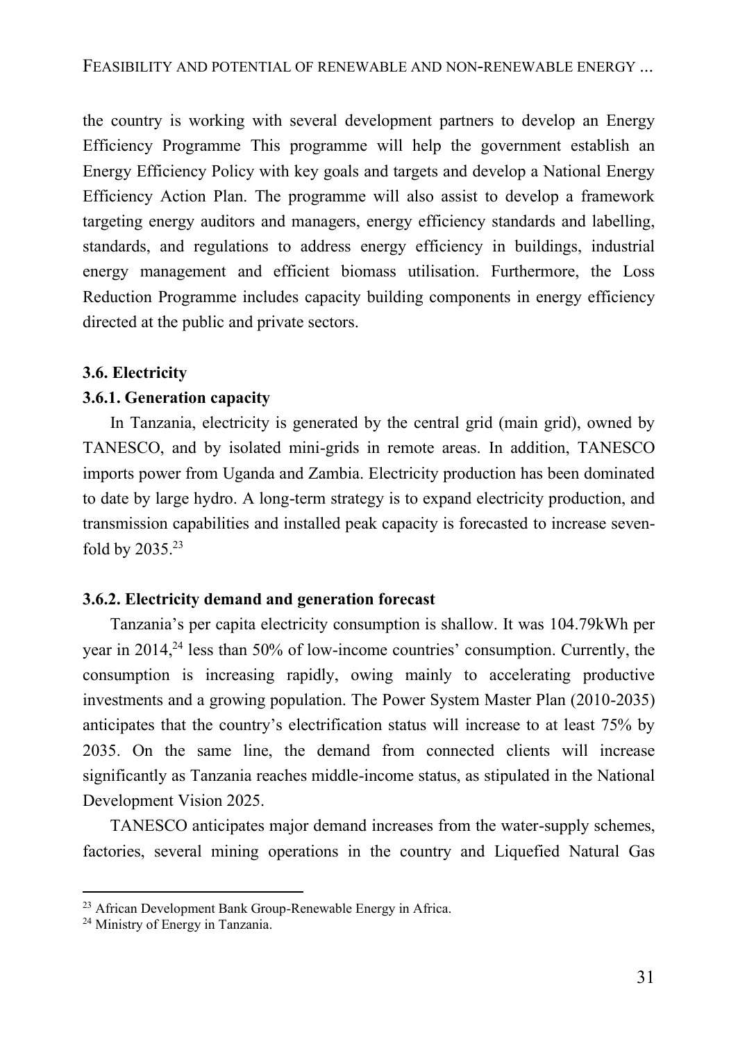the country is working with several development partners to develop an Energy Efficiency Programme This programme will help the government establish an Energy Efficiency Policy with key goals and targets and develop a National Energy Efficiency Action Plan. The programme will also assist to develop a framework targeting energy auditors and managers, energy efficiency standards and labelling, standards, and regulations to address energy efficiency in buildings, industrial energy management and efficient biomass utilisation. Furthermore, the Loss Reduction Programme includes capacity building components in energy efficiency directed at the public and private sectors.

#### **3.6. Electricity**

#### **3.6.1. Generation capacity**

In Tanzania, electricity is generated by the central grid (main grid), owned by TANESCO, and by isolated mini-grids in remote areas. In addition, TANESCO imports power from Uganda and Zambia. Electricity production has been dominated to date by large hydro. A long-term strategy is to expand electricity production, and transmission capabilities and installed peak capacity is forecasted to increase sevenfold by 2035.<sup>23</sup>

#### **3.6.2. Electricity demand and generation forecast**

Tanzania's per capita electricity consumption is shallow. It was 104.79kWh per year in 2014, <sup>24</sup> less than 50% of low-income countries' consumption. Currently, the consumption is increasing rapidly, owing mainly to accelerating productive investments and a growing population. The Power System Master Plan (2010-2035) anticipates that the country's electrification status will increase to at least 75% by 2035. On the same line, the demand from connected clients will increase significantly as Tanzania reaches middle-income status, as stipulated in the National Development Vision 2025.

TANESCO anticipates major demand increases from the water-supply schemes, factories, several mining operations in the country and Liquefied Natural Gas

<sup>&</sup>lt;sup>23</sup> African Development Bank Group-Renewable Energy in Africa.

<sup>&</sup>lt;sup>24</sup> Ministry of Energy in Tanzania.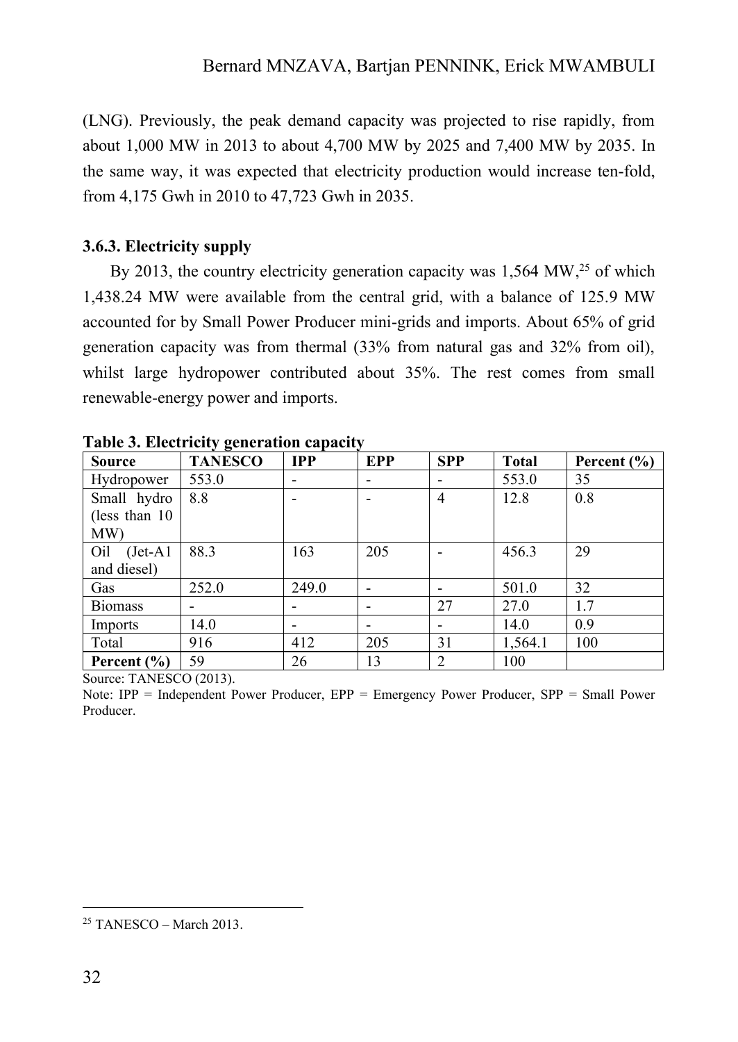(LNG). Previously, the peak demand capacity was projected to rise rapidly, from about 1,000 MW in 2013 to about 4,700 MW by 2025 and 7,400 MW by 2035. In the same way, it was expected that electricity production would increase ten-fold, from 4,175 Gwh in 2010 to 47,723 Gwh in 2035.

## **3.6.3. Electricity supply**

By 2013, the country electricity generation capacity was  $1,564$  MW,<sup>25</sup> of which 1,438.24 MW were available from the central grid, with a balance of 125.9 MW accounted for by Small Power Producer mini-grids and imports. About 65% of grid generation capacity was from thermal (33% from natural gas and 32% from oil), whilst large hydropower contributed about 35%. The rest comes from small renewable-energy power and imports.

| <b>Source</b>     | $\cdots$<br><b>TANESCO</b> | <b>IPP</b> | EPP | <b>SPP</b>               | <b>Total</b> | Percent $(\% )$ |
|-------------------|----------------------------|------------|-----|--------------------------|--------------|-----------------|
| Hydropower        | 553.0                      |            |     |                          | 553.0        | 35              |
| Small hydro       | 8.8                        |            |     | $\overline{\mathcal{A}}$ | 12.8         | 0.8             |
| (less than 10)    |                            |            |     |                          |              |                 |
| MW)               |                            |            |     |                          |              |                 |
| Oil<br>$(Jet-A1)$ | 88.3                       | 163        | 205 |                          | 456.3        | 29              |
| and diesel)       |                            |            |     |                          |              |                 |
| Gas               | 252.0                      | 249.0      |     |                          | 501.0        | 32              |
| <b>Biomass</b>    |                            |            |     | 27                       | 27.0         | 1.7             |
| Imports           | 14.0                       |            |     |                          | 14.0         | 0.9             |
| Total             | 916                        | 412        | 205 | 31                       | 1,564.1      | 100             |
| Percent $(\% )$   | 59                         | 26         | 13  | 2                        | 100          |                 |

**Table 3. Electricity generation capacity**

Source: TANESCO (2013).

Note: IPP = Independent Power Producer, EPP = Emergency Power Producer, SPP = Small Power Producer.

 $25$  TANESCO – March 2013.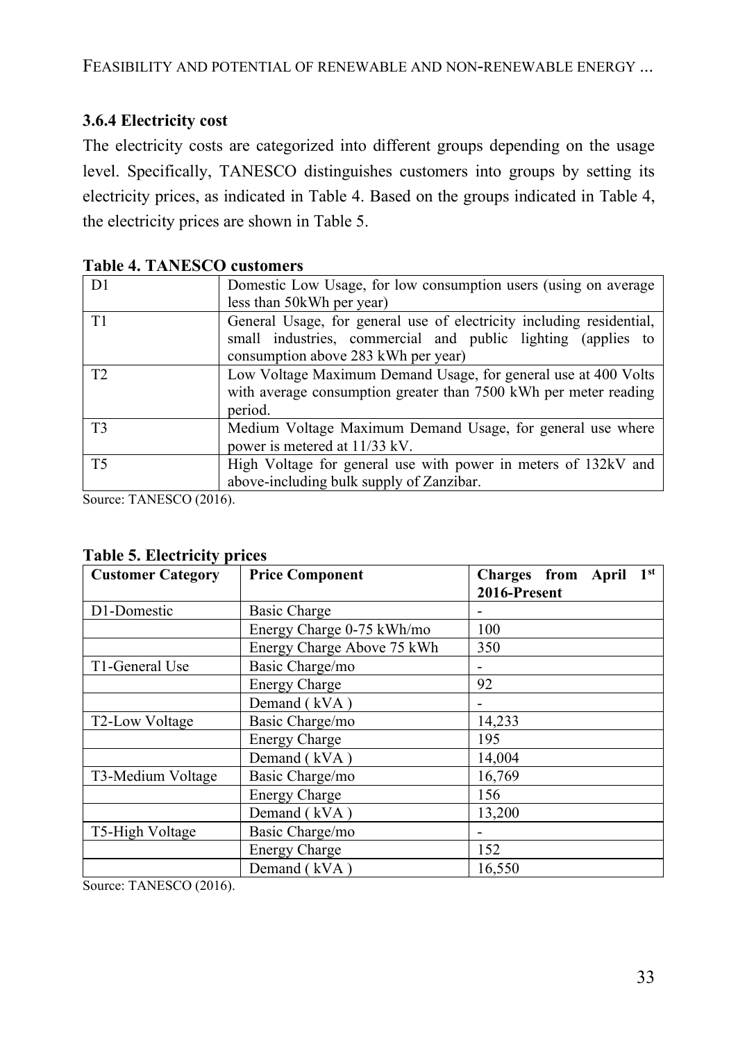## **3.6.4 Electricity cost**

The electricity costs are categorized into different groups depending on the usage level. Specifically, TANESCO distinguishes customers into groups by setting its electricity prices, as indicated in Table 4. Based on the groups indicated in Table 4, the electricity prices are shown in Table 5.

| D <sub>1</sub> | Domestic Low Usage, for low consumption users (using on average                                                                                                             |
|----------------|-----------------------------------------------------------------------------------------------------------------------------------------------------------------------------|
|                | less than 50kWh per year)                                                                                                                                                   |
| T1             | General Usage, for general use of electricity including residential,<br>small industries, commercial and public lighting (applies to<br>consumption above 283 kWh per year) |
| T2             | Low Voltage Maximum Demand Usage, for general use at 400 Volts<br>with average consumption greater than 7500 kWh per meter reading<br>period.                               |
| T <sub>3</sub> | Medium Voltage Maximum Demand Usage, for general use where<br>power is metered at 11/33 kV.                                                                                 |
| T <sub>5</sub> | High Voltage for general use with power in meters of 132kV and<br>above-including bulk supply of Zanzibar.                                                                  |

**Table 4. TANESCO customers**

Source: TANESCO (2016).

|  |  | <b>Table 5. Electricity prices</b> |  |
|--|--|------------------------------------|--|
|--|--|------------------------------------|--|

| <b>Customer Category</b> | <b>Price Component</b>     | Charges from April 1st |  |  |
|--------------------------|----------------------------|------------------------|--|--|
|                          |                            | 2016-Present           |  |  |
| D1-Domestic              | <b>Basic Charge</b>        |                        |  |  |
|                          | Energy Charge 0-75 kWh/mo  | 100                    |  |  |
|                          | Energy Charge Above 75 kWh | 350                    |  |  |
| T1-General Use           | Basic Charge/mo            |                        |  |  |
|                          | <b>Energy Charge</b>       | 92                     |  |  |
|                          | Demand (kVA)               |                        |  |  |
| T2-Low Voltage           | Basic Charge/mo            | 14,233                 |  |  |
|                          | <b>Energy Charge</b>       | 195                    |  |  |
|                          | Demand (kVA)               | 14,004                 |  |  |
| T3-Medium Voltage        | Basic Charge/mo            | 16,769                 |  |  |
|                          | <b>Energy Charge</b>       | 156                    |  |  |
|                          | Demand (kVA)               | 13,200                 |  |  |
| T5-High Voltage          | Basic Charge/mo            |                        |  |  |
|                          | <b>Energy Charge</b>       | 152                    |  |  |
|                          | Demand (kVA)               | 16,550                 |  |  |

Source: TANESCO (2016).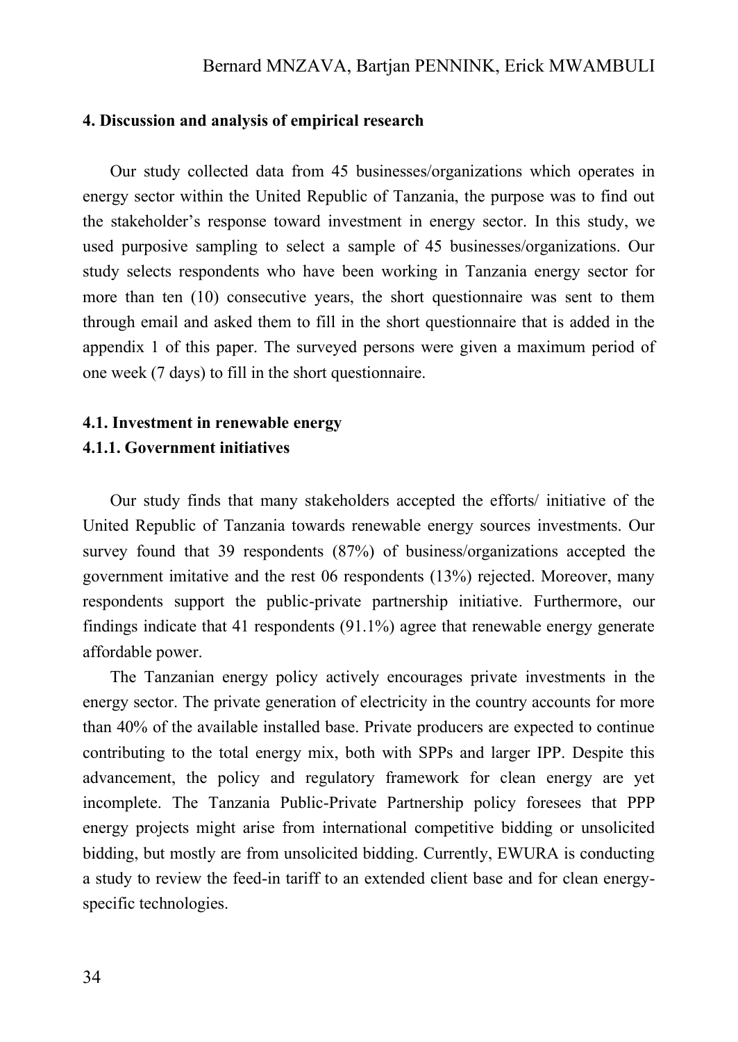#### **4. Discussion and analysis of empirical research**

Our study collected data from 45 businesses/organizations which operates in energy sector within the United Republic of Tanzania, the purpose was to find out the stakeholder's response toward investment in energy sector. In this study, we used purposive sampling to select a sample of 45 businesses/organizations. Our study selects respondents who have been working in Tanzania energy sector for more than ten (10) consecutive years, the short questionnaire was sent to them through email and asked them to fill in the short questionnaire that is added in the appendix 1 of this paper. The surveyed persons were given a maximum period of one week (7 days) to fill in the short questionnaire.

## **4.1. Investment in renewable energy 4.1.1. Government initiatives**

Our study finds that many stakeholders accepted the efforts/ initiative of the United Republic of Tanzania towards renewable energy sources investments. Our survey found that 39 respondents (87%) of business/organizations accepted the government imitative and the rest 06 respondents (13%) rejected. Moreover, many respondents support the public-private partnership initiative. Furthermore, our findings indicate that 41 respondents (91.1%) agree that renewable energy generate affordable power.

The Tanzanian energy policy actively encourages private investments in the energy sector. The private generation of electricity in the country accounts for more than 40% of the available installed base. Private producers are expected to continue contributing to the total energy mix, both with SPPs and larger IPP. Despite this advancement, the policy and regulatory framework for clean energy are yet incomplete. The Tanzania Public-Private Partnership policy foresees that PPP energy projects might arise from international competitive bidding or unsolicited bidding, but mostly are from unsolicited bidding. Currently, EWURA is conducting a study to review the feed-in tariff to an extended client base and for clean energyspecific technologies.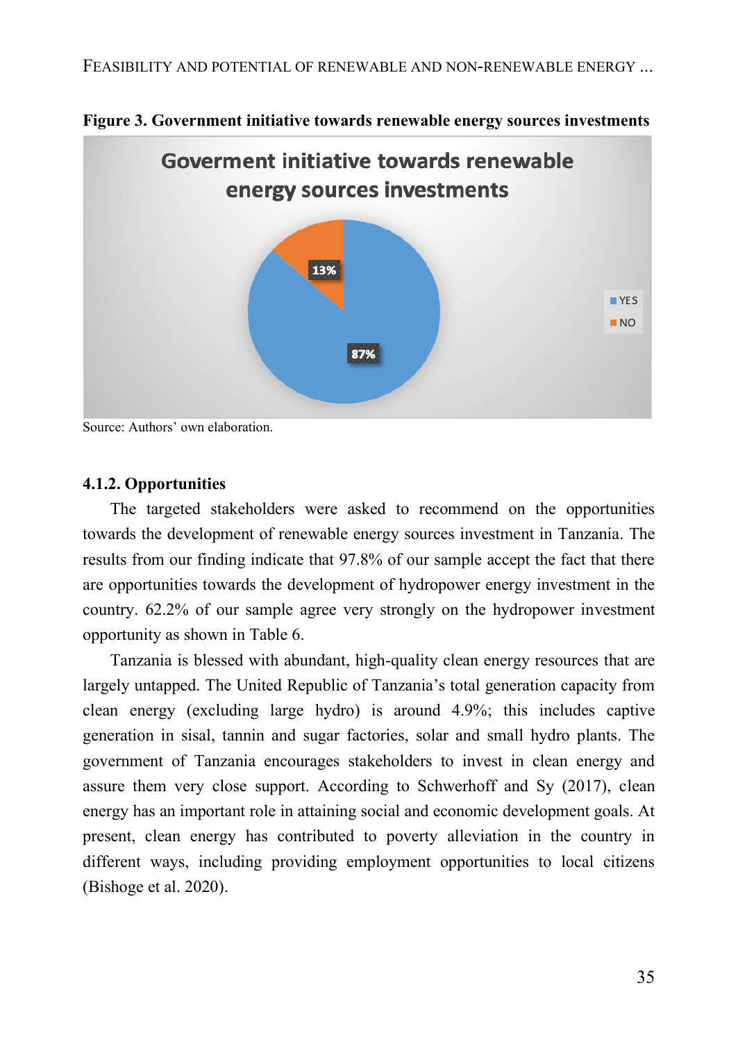

**Figure 3. Government initiative towards renewable energy sources investments**

Source: Authors' own elaboration.

#### **4.1.2. Opportunities**

The targeted stakeholders were asked to recommend on the opportunities towards the development of renewable energy sources investment in Tanzania. The results from our finding indicate that 97.8% of our sample accept the fact that there are opportunities towards the development of hydropower energy investment in the country. 62.2% of our sample agree very strongly on the hydropower investment opportunity as shown in Table 6.

Tanzania is blessed with abundant, high-quality clean energy resources that are largely untapped. The United Republic of Tanzania's total generation capacity from clean energy (excluding large hydro) is around 4.9%; this includes captive generation in sisal, tannin and sugar factories, solar and small hydro plants. The government of Tanzania encourages stakeholders to invest in clean energy and assure them very close support. According to Schwerhoff and Sy (2017), clean energy has an important role in attaining social and economic development goals. At present, clean energy has contributed to poverty alleviation in the country in different ways, including providing employment opportunities to local citizens (Bishoge et al. 2020).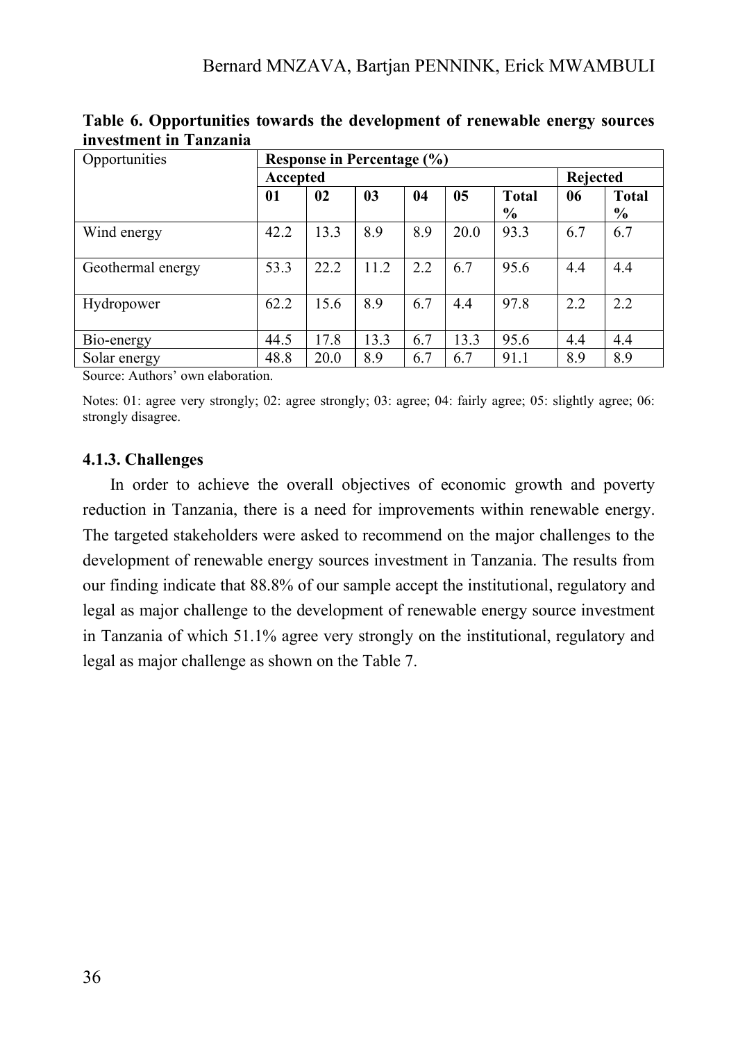| Opportunities     | Response in Percentage (%) |      |                |     |      |               |          |              |
|-------------------|----------------------------|------|----------------|-----|------|---------------|----------|--------------|
|                   | Accepted                   |      |                |     |      |               | Rejected |              |
|                   | 01                         | 02   | 0 <sub>3</sub> | 04  | 05   | <b>Total</b>  | 06       | <b>Total</b> |
|                   |                            |      |                |     |      | $\frac{6}{6}$ |          | $\%$         |
| Wind energy       | 42.2                       | 13.3 | 8.9            | 8.9 | 20.0 | 93.3          | 6.7      | 6.7          |
| Geothermal energy | 53.3                       | 22.2 | 11.2           | 2.2 | 6.7  | 95.6          | 4.4      | 4.4          |
| Hydropower        | 62.2                       | 15.6 | 8.9            | 6.7 | 4.4  | 97.8          | 2.2      | 2.2          |
| Bio-energy        | 44.5                       | 17.8 | 13.3           | 6.7 | 13.3 | 95.6          | 4.4      | 4.4          |
| Solar energy      | 48.8                       | 20.0 | 8.9            | 6.7 | 6.7  | 91.1          | 8.9      | 8.9          |

**Table 6. Opportunities towards the development of renewable energy sources investment in Tanzania**

Source: Authors' own elaboration.

Notes: 01: agree very strongly; 02: agree strongly; 03: agree; 04: fairly agree; 05: slightly agree; 06: strongly disagree.

#### **4.1.3. Challenges**

In order to achieve the overall objectives of economic growth and poverty reduction in Tanzania, there is a need for improvements within renewable energy. The targeted stakeholders were asked to recommend on the major challenges to the development of renewable energy sources investment in Tanzania. The results from our finding indicate that 88.8% of our sample accept the institutional, regulatory and legal as major challenge to the development of renewable energy source investment in Tanzania of which 51.1% agree very strongly on the institutional, regulatory and legal as major challenge as shown on the Table 7.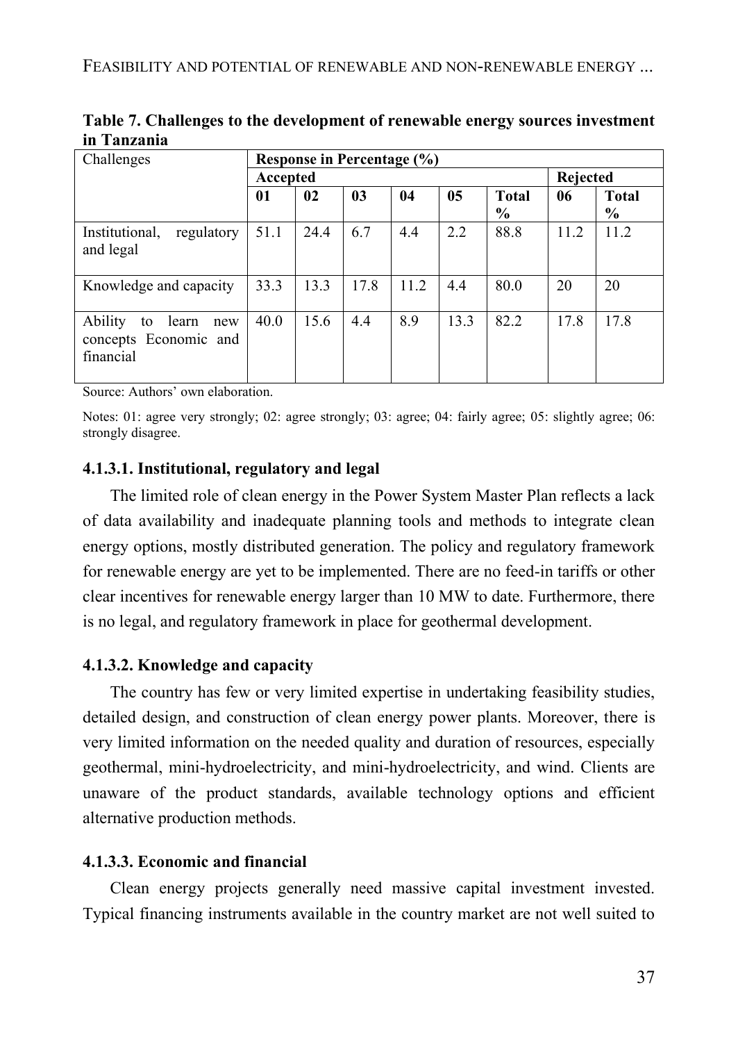| Challenges                                                          | Response in Percentage (%) |      |                |      |      |               |      |               |  |
|---------------------------------------------------------------------|----------------------------|------|----------------|------|------|---------------|------|---------------|--|
|                                                                     | Accepted                   |      |                |      |      |               |      | Rejected      |  |
|                                                                     | 01                         | 02   | 0 <sub>3</sub> | 04   | 05   | <b>Total</b>  | 06   | <b>Total</b>  |  |
|                                                                     |                            |      |                |      |      | $\frac{6}{9}$ |      | $\frac{6}{6}$ |  |
| regulatory<br>Institutional,<br>and legal                           | 51.1                       | 24.4 | 6.7            | 4.4  | 2.2  | 88.8          | 11.2 | 11.2          |  |
| Knowledge and capacity                                              | 33.3                       | 13.3 | 17.8           | 11.2 | 4.4  | 80.0          | 20   | 20            |  |
| Ability<br>learn<br>to<br>new<br>concepts Economic and<br>financial | 40.0                       | 15.6 | 4.4            | 8.9  | 13.3 | 82.2          | 17.8 | 17.8          |  |

**Table 7. Challenges to the development of renewable energy sources investment in Tanzania**

Source: Authors' own elaboration.

Notes: 01: agree very strongly; 02: agree strongly; 03: agree; 04: fairly agree; 05: slightly agree; 06: strongly disagree.

## **4.1.3.1. Institutional, regulatory and legal**

The limited role of clean energy in the Power System Master Plan reflects a lack of data availability and inadequate planning tools and methods to integrate clean energy options, mostly distributed generation. The policy and regulatory framework for renewable energy are yet to be implemented. There are no feed-in tariffs or other clear incentives for renewable energy larger than 10 MW to date. Furthermore, there is no legal, and regulatory framework in place for geothermal development.

## **4.1.3.2. Knowledge and capacity**

The country has few or very limited expertise in undertaking feasibility studies, detailed design, and construction of clean energy power plants. Moreover, there is very limited information on the needed quality and duration of resources, especially geothermal, mini-hydroelectricity, and mini-hydroelectricity, and wind. Clients are unaware of the product standards, available technology options and efficient alternative production methods.

## **4.1.3.3. Economic and financial**

Clean energy projects generally need massive capital investment invested. Typical financing instruments available in the country market are not well suited to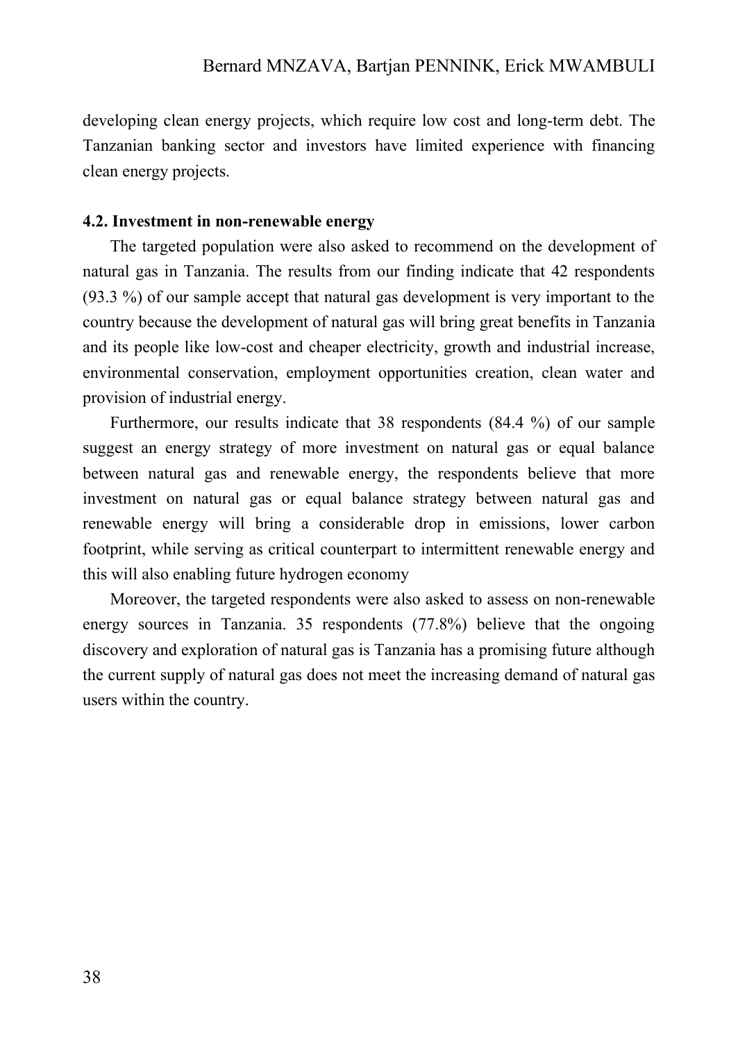developing clean energy projects, which require low cost and long-term debt. The Tanzanian banking sector and investors have limited experience with financing clean energy projects.

#### **4.2. Investment in non-renewable energy**

The targeted population were also asked to recommend on the development of natural gas in Tanzania. The results from our finding indicate that 42 respondents (93.3 %) of our sample accept that natural gas development is very important to the country because the development of natural gas will bring great benefits in Tanzania and its people like low-cost and cheaper electricity, growth and industrial increase, environmental conservation, employment opportunities creation, clean water and provision of industrial energy.

Furthermore, our results indicate that 38 respondents (84.4 %) of our sample suggest an energy strategy of more investment on natural gas or equal balance between natural gas and renewable energy, the respondents believe that more investment on natural gas or equal balance strategy between natural gas and renewable energy will bring a considerable drop in emissions, lower carbon footprint, while serving as critical counterpart to intermittent renewable energy and this will also enabling future hydrogen economy

Moreover, the targeted respondents were also asked to assess on non-renewable energy sources in Tanzania. 35 respondents (77.8%) believe that the ongoing discovery and exploration of natural gas is Tanzania has a promising future although the current supply of natural gas does not meet the increasing demand of natural gas users within the country.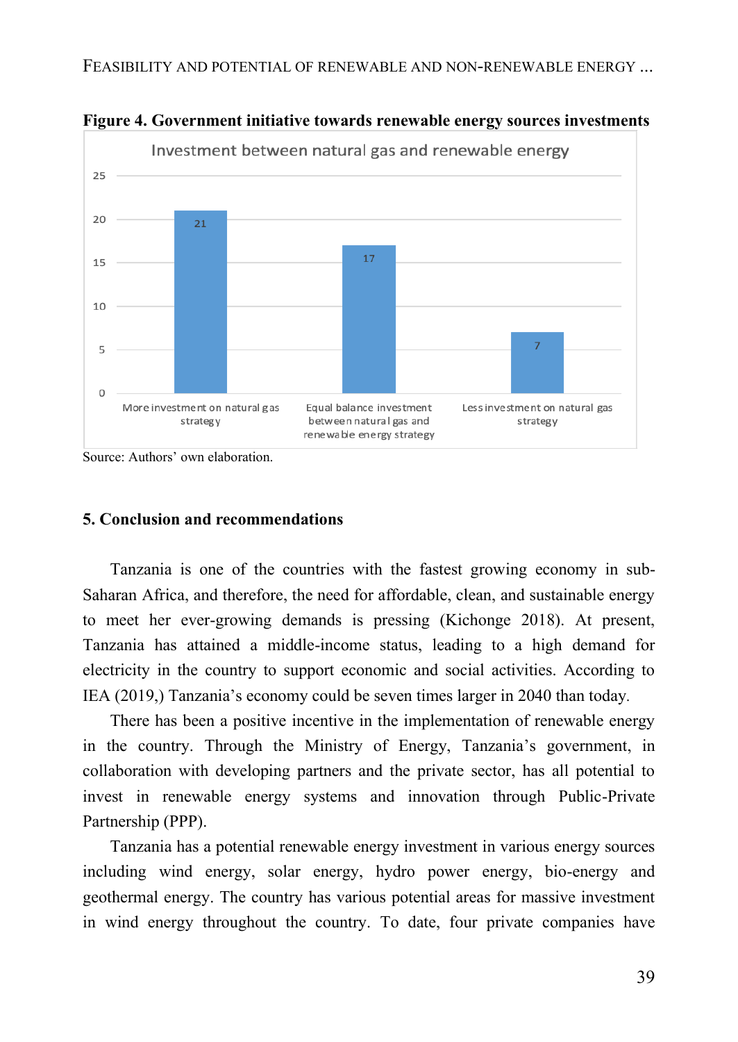

**Figure 4. Government initiative towards renewable energy sources investments**

Source: Authors' own elaboration.

#### **5. Conclusion and recommendations**

Tanzania is one of the countries with the fastest growing economy in sub-Saharan Africa, and therefore, the need for affordable, clean, and sustainable energy to meet her ever-growing demands is pressing (Kichonge 2018). At present, Tanzania has attained a middle-income status, leading to a high demand for electricity in the country to support economic and social activities. According to IEA (2019,) Tanzania's economy could be seven times larger in 2040 than today*.*

There has been a positive incentive in the implementation of renewable energy in the country. Through the Ministry of Energy, Tanzania's government, in collaboration with developing partners and the private sector, has all potential to invest in renewable energy systems and innovation through Public-Private Partnership (PPP).

Tanzania has a potential renewable energy investment in various energy sources including wind energy, solar energy, hydro power energy, bio-energy and geothermal energy. The country has various potential areas for massive investment in wind energy throughout the country. To date, four private companies have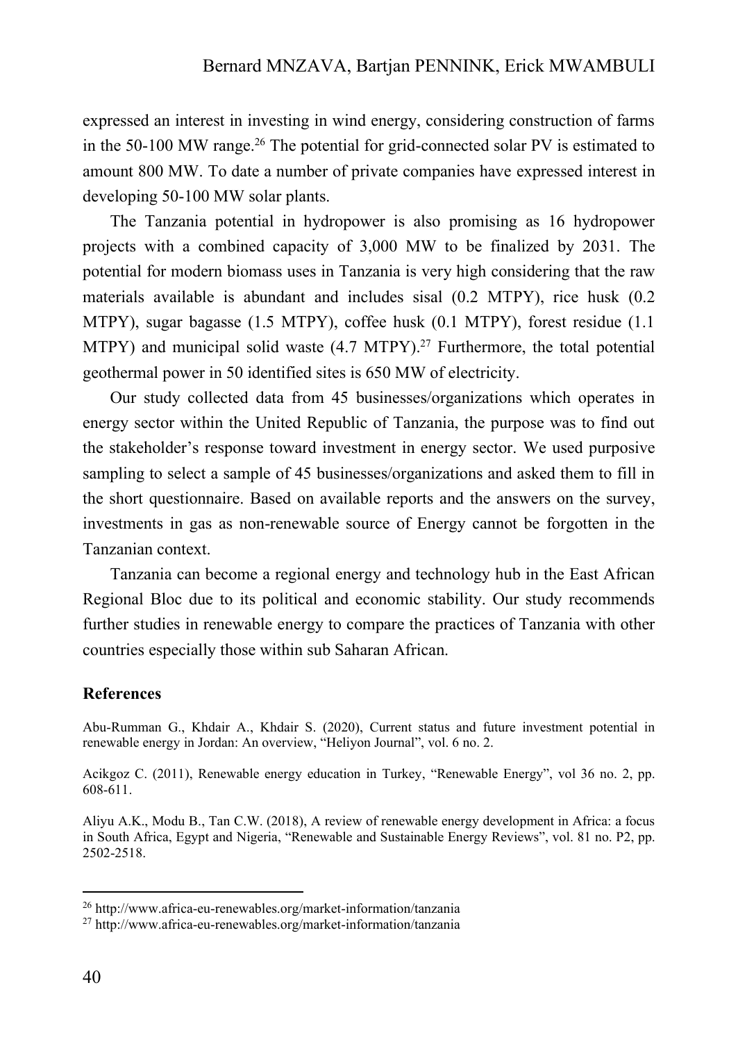expressed an interest in investing in wind energy, considering construction of farms in the 50-100 MW range. <sup>26</sup> The potential for grid-connected solar PV is estimated to amount 800 MW. To date a number of private companies have expressed interest in developing 50-100 MW solar plants.

The Tanzania potential in hydropower is also promising as 16 hydropower projects with a combined capacity of 3,000 MW to be finalized by 2031. The potential for modern biomass uses in Tanzania is very high considering that the raw materials available is abundant and includes sisal (0.2 MTPY), rice husk (0.2 MTPY), sugar bagasse (1.5 MTPY), coffee husk (0.1 MTPY), forest residue (1.1 MTPY) and municipal solid waste (4.7 MTPY).<sup>27</sup> Furthermore, the total potential geothermal power in 50 identified sites is 650 MW of electricity.

Our study collected data from 45 businesses/organizations which operates in energy sector within the United Republic of Tanzania, the purpose was to find out the stakeholder's response toward investment in energy sector. We used purposive sampling to select a sample of 45 businesses/organizations and asked them to fill in the short questionnaire. Based on available reports and the answers on the survey, investments in gas as non-renewable source of Energy cannot be forgotten in the Tanzanian context.

Tanzania can become a regional energy and technology hub in the East African Regional Bloc due to its political and economic stability. Our study recommends further studies in renewable energy to compare the practices of Tanzania with other countries especially those within sub Saharan African.

#### **References**

Abu-Rumman G., Khdair A., Khdair S. (2020), Current status and future investment potential in renewable energy in Jordan: An overview, "Heliyon Journal", vol. 6 no. 2.

Acikgoz C. (2011), Renewable energy education in Turkey, "Renewable Energy", vol 36 no. 2, pp. 608-611.

Aliyu A.K., Modu B., Tan C.W. (2018), A review of renewable energy development in Africa: a focus in South Africa, Egypt and Nigeria, "Renewable and Sustainable Energy Reviews", vol. 81 no. P2, pp. 2502-2518.

<sup>26</sup> http://www.africa-eu-renewables.org/market-information/tanzania

<sup>27</sup> http://www.africa-eu-renewables.org/market-information/tanzania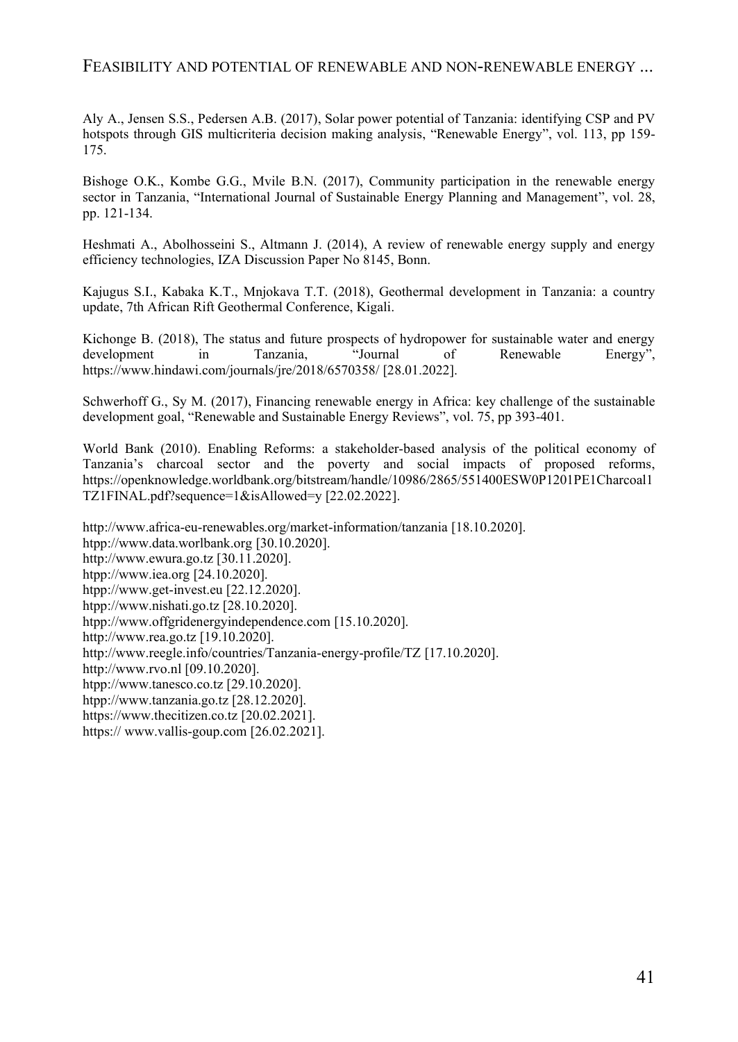#### FEASIBILITY AND POTENTIAL OF RENEWABLE AND NON-RENEWABLE ENERGY ...

Aly A., Jensen S.S., Pedersen A.B. (2017), Solar power potential of Tanzania: identifying CSP and PV hotspots through GIS multicriteria decision making analysis, "Renewable Energy", vol. 113, pp 159- 175.

Bishoge O.K., Kombe G.G., Mvile B.N. (2017), Community participation in the renewable energy sector in Tanzania, "International Journal of Sustainable Energy Planning and Management", vol. 28, pp. 121-134.

Heshmati A., Abolhosseini S., Altmann J. (2014), A review of renewable energy supply and energy efficiency technologies, IZA Discussion Paper No 8145, Bonn.

Kajugus S.I., Kabaka K.T., Mnjokava T.T. (2018), Geothermal development in Tanzania: a country update, 7th African Rift Geothermal Conference, Kigali.

Kichonge B. (2018), The status and future prospects of hydropower for sustainable water and energy development in Tanzania, "Journal of Renewable Energy", https://www.hindawi.com/journals/jre/2018/6570358/ [28.01.2022].

Schwerhoff G., Sy M. (2017), Financing renewable energy in Africa: key challenge of the sustainable development goal, "Renewable and Sustainable Energy Reviews", vol. 75, pp 393-401.

World Bank (2010). Enabling Reforms: a stakeholder-based analysis of the political economy of Tanzania's charcoal sector and the poverty and social impacts of proposed reforms, https://openknowledge.worldbank.org/bitstream/handle/10986/2865/551400ESW0P1201PE1Charcoal1 TZ1FINAL.pdf?sequence=1&isAllowed=y [22.02.2022].

http://www.africa-eu-renewables.org/market-information/tanzania [18.10.2020]. htpp://www.data.worlbank.org [30.10.2020]. http://www.ewura.go.tz [30.11.2020]. htpp://www.iea.org [24.10.2020]. htpp://www.get-invest.eu [22.12.2020]. htpp://www.nishati.go.tz [28.10.2020]. htpp://www.offgridenergyindependence.com [15.10.2020]. http://www.rea.go.tz [19.10.2020]. http://www.reegle.info/countries/Tanzania-energy-profile/TZ [17.10.2020]. http://www.rvo.nl [09.10.2020]. htpp://www.tanesco.co.tz [29.10.2020]. htpp://www.tanzania.go.tz [28.12.2020]. https://www.thecitizen.co.tz [20.02.2021]. https:// www.vallis-goup.com [26.02.2021].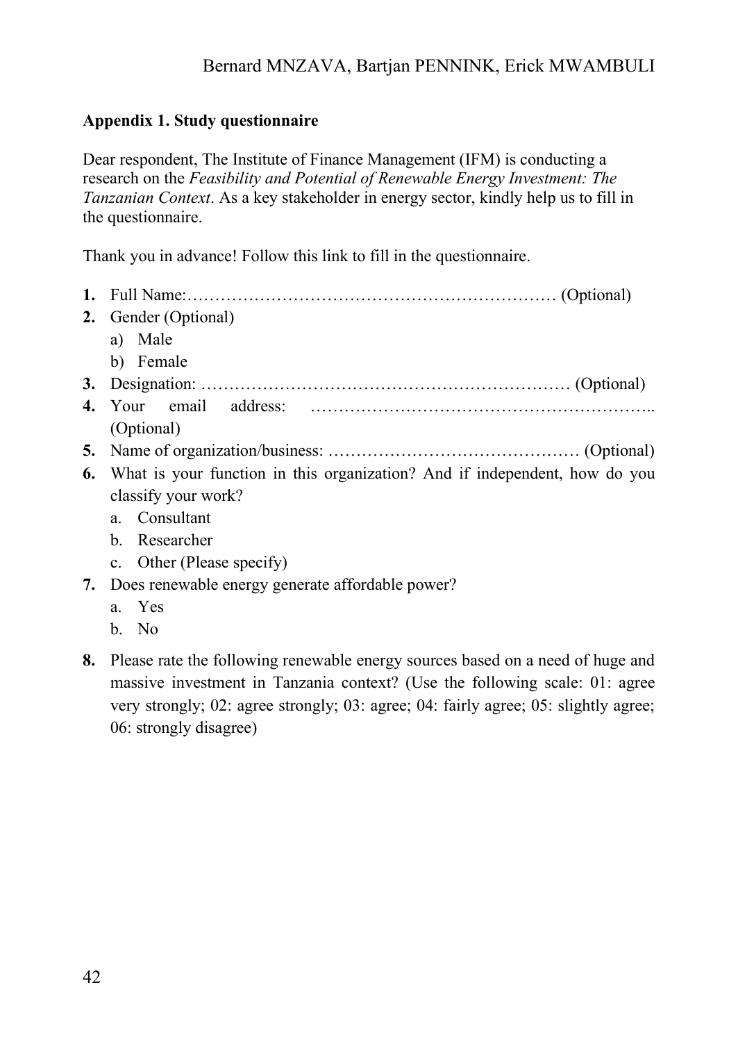## Bernard MNZAVA, Bartjan PENNINK, Erick MWAMBULI

#### **Appendix 1. Study questionnaire**

Dear respondent, The Institute of Finance Management (IFM) is conducting a research on the *Feasibility and Potential of Renewable Energy Investment: The Tanzanian Context*. As a key stakeholder in energy sector, kindly help us to fill in the questionnaire.

Thank you in advance! Follow this link to fill in the questionnaire.

| 2. | Gender (Optional)                                                             |
|----|-------------------------------------------------------------------------------|
|    | a) Male                                                                       |
|    | b) Female                                                                     |
|    |                                                                               |
|    |                                                                               |
|    | (Optional)                                                                    |
|    |                                                                               |
|    | 6. What is your function in this organization? And if independent, how do you |
|    | classify your work?                                                           |
|    | a. Consultant                                                                 |
|    | b. Researcher                                                                 |
|    | c. Other (Please specify)                                                     |
|    | 7. Does renewable energy generate affordable power?                           |
|    | a. Yes                                                                        |

- b. No
- **8.** Please rate the following renewable energy sources based on a need of huge and massive investment in Tanzania context? (Use the following scale: 01: agree very strongly; 02: agree strongly; 03: agree; 04: fairly agree; 05: slightly agree; 06: strongly disagree)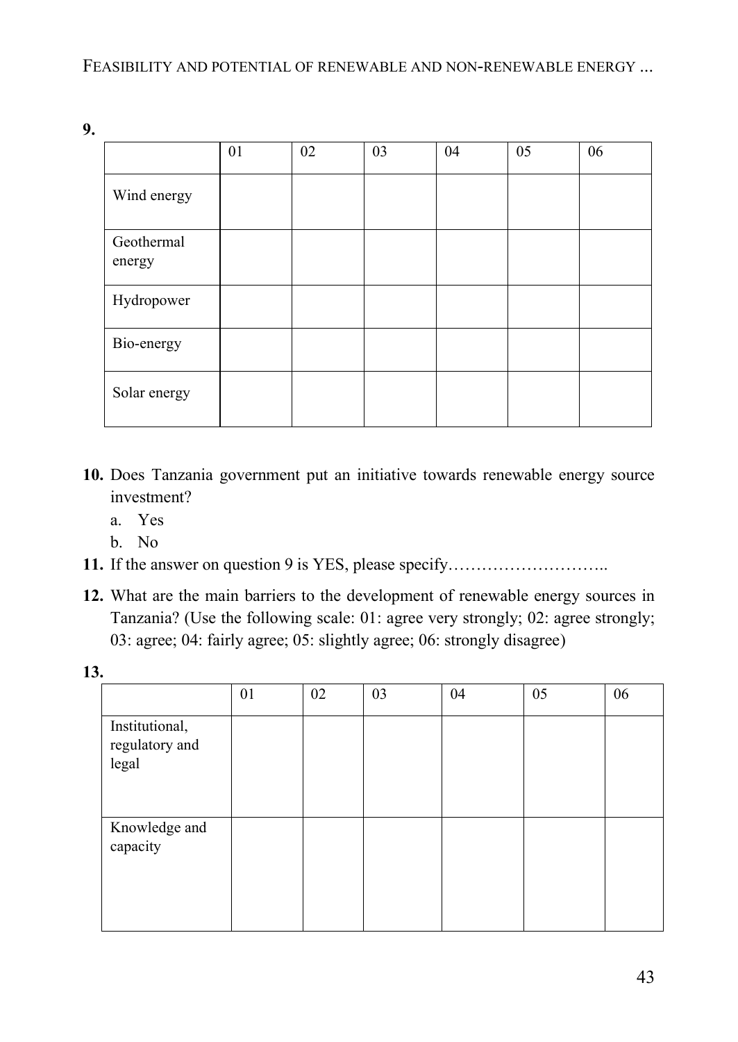**9.**

|                      | 01 | 02 | 03 | 04 | 05 | 06 |
|----------------------|----|----|----|----|----|----|
| Wind energy          |    |    |    |    |    |    |
| Geothermal<br>energy |    |    |    |    |    |    |
| Hydropower           |    |    |    |    |    |    |
| Bio-energy           |    |    |    |    |    |    |
| Solar energy         |    |    |    |    |    |    |

- **10.** Does Tanzania government put an initiative towards renewable energy source investment?
	- a. Yes
	- b. No
- **11.** If the answer on question 9 is YES, please specify………………………..
- **12.** What are the main barriers to the development of renewable energy sources in Tanzania? (Use the following scale: 01: agree very strongly; 02: agree strongly; 03: agree; 04: fairly agree; 05: slightly agree; 06: strongly disagree)

**13.**

|                                           | 01 | 02 | 03 | 04 | 05 | 06 |
|-------------------------------------------|----|----|----|----|----|----|
| Institutional,<br>regulatory and<br>legal |    |    |    |    |    |    |
| Knowledge and<br>capacity                 |    |    |    |    |    |    |